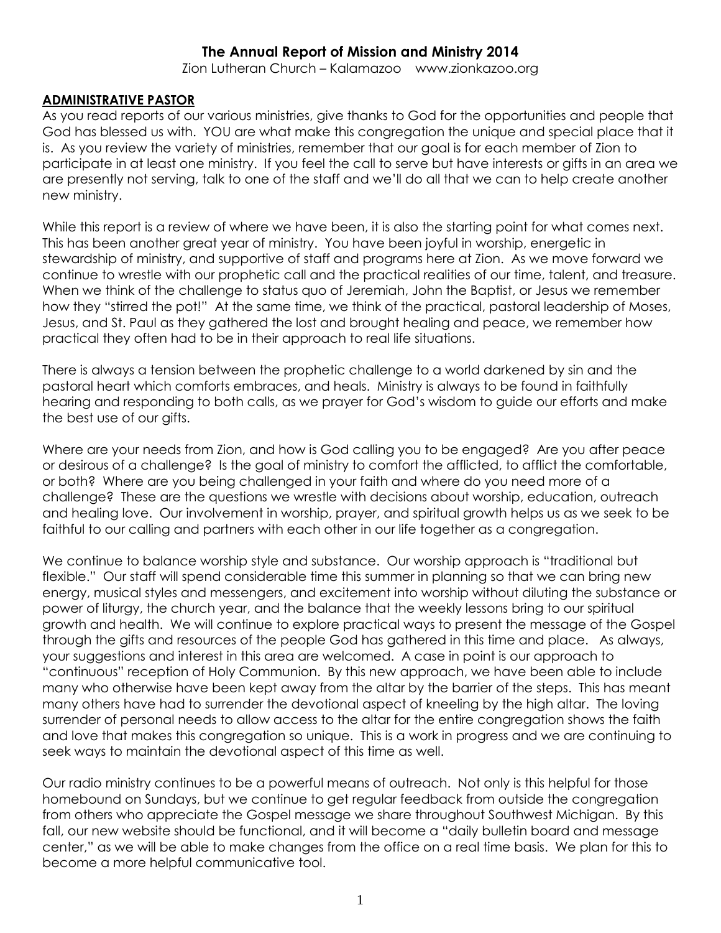# **The Annual Report of Mission and Ministry 2014**

Zion Lutheran Church – Kalamazoo www.zionkazoo.org

## **ADMINISTRATIVE PASTOR**

As you read reports of our various ministries, give thanks to God for the opportunities and people that God has blessed us with. YOU are what make this congregation the unique and special place that it is. As you review the variety of ministries, remember that our goal is for each member of Zion to participate in at least one ministry. If you feel the call to serve but have interests or gifts in an area we are presently not serving, talk to one of the staff and we'll do all that we can to help create another new ministry.

While this report is a review of where we have been, it is also the starting point for what comes next. This has been another great year of ministry. You have been joyful in worship, energetic in stewardship of ministry, and supportive of staff and programs here at Zion. As we move forward we continue to wrestle with our prophetic call and the practical realities of our time, talent, and treasure. When we think of the challenge to status quo of Jeremiah, John the Baptist, or Jesus we remember how they "stirred the pot!" At the same time, we think of the practical, pastoral leadership of Moses, Jesus, and St. Paul as they gathered the lost and brought healing and peace, we remember how practical they often had to be in their approach to real life situations.

There is always a tension between the prophetic challenge to a world darkened by sin and the pastoral heart which comforts embraces, and heals. Ministry is always to be found in faithfully hearing and responding to both calls, as we prayer for God's wisdom to guide our efforts and make the best use of our gifts.

Where are your needs from Zion, and how is God calling you to be engaged? Are you after peace or desirous of a challenge? Is the goal of ministry to comfort the afflicted, to afflict the comfortable, or both? Where are you being challenged in your faith and where do you need more of a challenge? These are the questions we wrestle with decisions about worship, education, outreach and healing love. Our involvement in worship, prayer, and spiritual growth helps us as we seek to be faithful to our calling and partners with each other in our life together as a congregation.

We continue to balance worship style and substance. Our worship approach is "traditional but flexible." Our staff will spend considerable time this summer in planning so that we can bring new energy, musical styles and messengers, and excitement into worship without diluting the substance or power of liturgy, the church year, and the balance that the weekly lessons bring to our spiritual growth and health. We will continue to explore practical ways to present the message of the Gospel through the gifts and resources of the people God has gathered in this time and place. As always, your suggestions and interest in this area are welcomed. A case in point is our approach to "continuous" reception of Holy Communion. By this new approach, we have been able to include many who otherwise have been kept away from the altar by the barrier of the steps. This has meant many others have had to surrender the devotional aspect of kneeling by the high altar. The loving surrender of personal needs to allow access to the altar for the entire congregation shows the faith and love that makes this congregation so unique. This is a work in progress and we are continuing to seek ways to maintain the devotional aspect of this time as well.

Our radio ministry continues to be a powerful means of outreach. Not only is this helpful for those homebound on Sundays, but we continue to get regular feedback from outside the congregation from others who appreciate the Gospel message we share throughout Southwest Michigan. By this fall, our new website should be functional, and it will become a "daily bulletin board and message center," as we will be able to make changes from the office on a real time basis. We plan for this to become a more helpful communicative tool.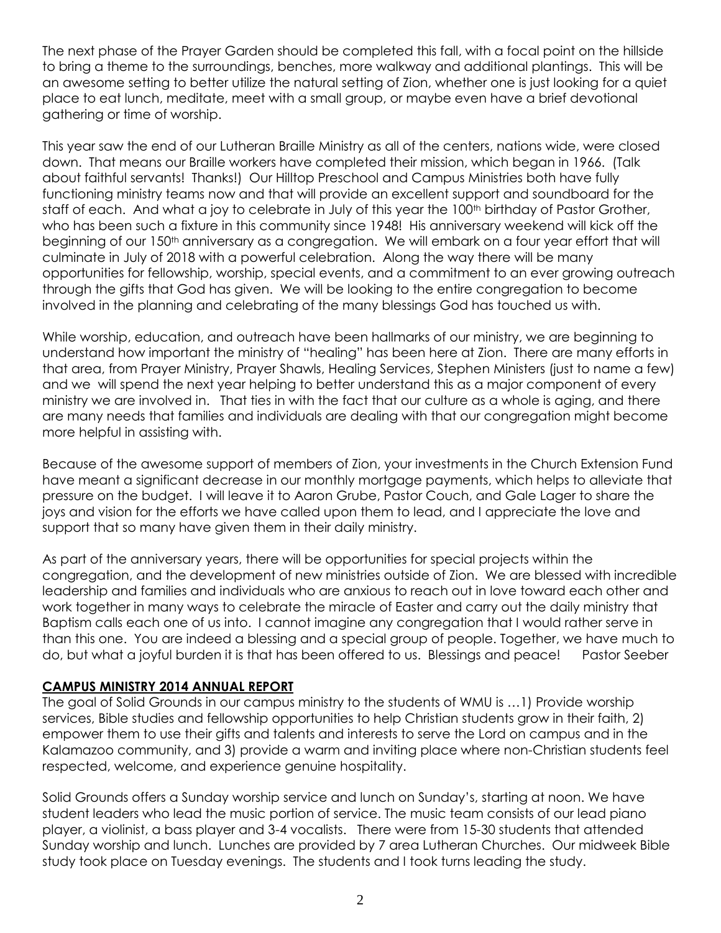The next phase of the Prayer Garden should be completed this fall, with a focal point on the hillside to bring a theme to the surroundings, benches, more walkway and additional plantings. This will be an awesome setting to better utilize the natural setting of Zion, whether one is just looking for a quiet place to eat lunch, meditate, meet with a small group, or maybe even have a brief devotional gathering or time of worship.

This year saw the end of our Lutheran Braille Ministry as all of the centers, nations wide, were closed down. That means our Braille workers have completed their mission, which began in 1966. (Talk about faithful servants! Thanks!) Our Hilltop Preschool and Campus Ministries both have fully functioning ministry teams now and that will provide an excellent support and soundboard for the staff of each. And what a joy to celebrate in July of this year the 100<sup>th</sup> birthday of Pastor Grother, who has been such a fixture in this community since 1948! His anniversary weekend will kick off the beginning of our 150<sup>th</sup> anniversary as a congregation. We will embark on a four year effort that will culminate in July of 2018 with a powerful celebration. Along the way there will be many opportunities for fellowship, worship, special events, and a commitment to an ever growing outreach through the gifts that God has given. We will be looking to the entire congregation to become involved in the planning and celebrating of the many blessings God has touched us with.

While worship, education, and outreach have been hallmarks of our ministry, we are beginning to understand how important the ministry of "healing" has been here at Zion. There are many efforts in that area, from Prayer Ministry, Prayer Shawls, Healing Services, Stephen Ministers (just to name a few) and we will spend the next year helping to better understand this as a major component of every ministry we are involved in. That ties in with the fact that our culture as a whole is aging, and there are many needs that families and individuals are dealing with that our congregation might become more helpful in assisting with.

Because of the awesome support of members of Zion, your investments in the Church Extension Fund have meant a significant decrease in our monthly mortgage payments, which helps to alleviate that pressure on the budget. I will leave it to Aaron Grube, Pastor Couch, and Gale Lager to share the joys and vision for the efforts we have called upon them to lead, and I appreciate the love and support that so many have given them in their daily ministry.

As part of the anniversary years, there will be opportunities for special projects within the congregation, and the development of new ministries outside of Zion. We are blessed with incredible leadership and families and individuals who are anxious to reach out in love toward each other and work together in many ways to celebrate the miracle of Easter and carry out the daily ministry that Baptism calls each one of us into. I cannot imagine any congregation that I would rather serve in than this one. You are indeed a blessing and a special group of people. Together, we have much to do, but what a joyful burden it is that has been offered to us. Blessings and peace! Pastor Seeber

# **CAMPUS MINISTRY 2014 ANNUAL REPORT**

The goal of Solid Grounds in our campus ministry to the students of WMU is …1) Provide worship services, Bible studies and fellowship opportunities to help Christian students grow in their faith, 2) empower them to use their gifts and talents and interests to serve the Lord on campus and in the Kalamazoo community, and 3) provide a warm and inviting place where non-Christian students feel respected, welcome, and experience genuine hospitality.

Solid Grounds offers a Sunday worship service and lunch on Sunday's, starting at noon. We have student leaders who lead the music portion of service. The music team consists of our lead piano player, a violinist, a bass player and 3-4 vocalists. There were from 15-30 students that attended Sunday worship and lunch. Lunches are provided by 7 area Lutheran Churches. Our midweek Bible study took place on Tuesday evenings. The students and I took turns leading the study.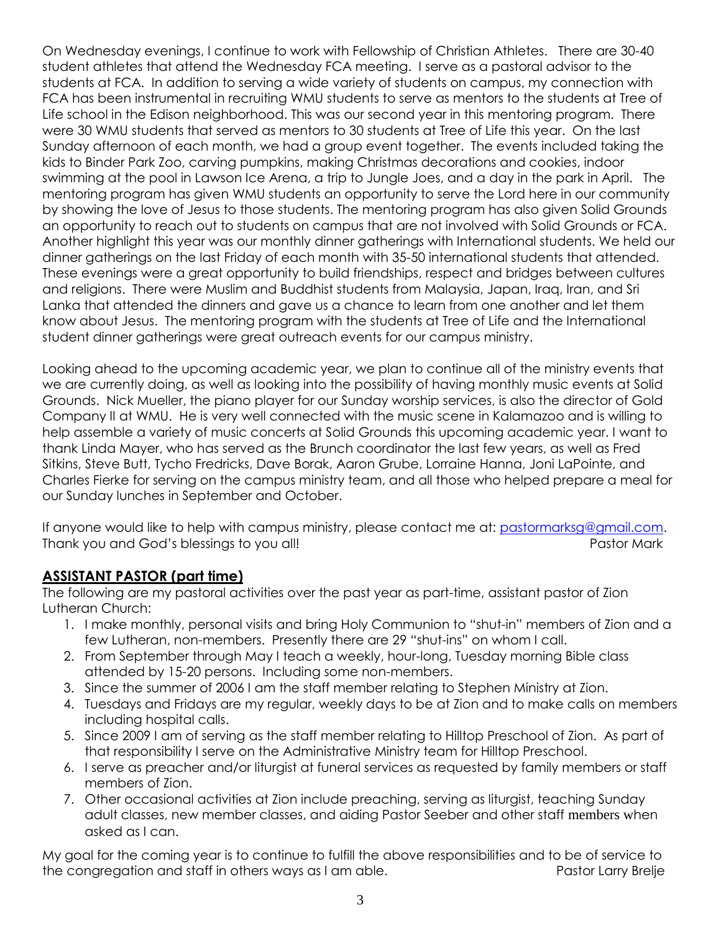On Wednesday evenings, I continue to work with Fellowship of Christian Athletes. There are 30-40 student athletes that attend the Wednesday FCA meeting. I serve as a pastoral advisor to the students at FCA. In addition to serving a wide variety of students on campus, my connection with FCA has been instrumental in recruiting WMU students to serve as mentors to the students at Tree of Life school in the Edison neighborhood. This was our second year in this mentoring program. There were 30 WMU students that served as mentors to 30 students at Tree of Life this year. On the last Sunday afternoon of each month, we had a group event together. The events included taking the kids to Binder Park Zoo, carving pumpkins, making Christmas decorations and cookies, indoor swimming at the pool in Lawson Ice Arena, a trip to Jungle Joes, and a day in the park in April. The mentoring program has given WMU students an opportunity to serve the Lord here in our community by showing the love of Jesus to those students. The mentoring program has also given Solid Grounds an opportunity to reach out to students on campus that are not involved with Solid Grounds or FCA. Another highlight this year was our monthly dinner gatherings with International students. We held our dinner gatherings on the last Friday of each month with 35-50 international students that attended. These evenings were a great opportunity to build friendships, respect and bridges between cultures and religions. There were Muslim and Buddhist students from Malaysia, Japan, Iraq, Iran, and Sri Lanka that attended the dinners and gave us a chance to learn from one another and let them know about Jesus. The mentoring program with the students at Tree of Life and the International student dinner gatherings were great outreach events for our campus ministry.

Looking ahead to the upcoming academic year, we plan to continue all of the ministry events that we are currently doing, as well as looking into the possibility of having monthly music events at Solid Grounds. Nick Mueller, the piano player for our Sunday worship services, is also the director of Gold Company II at WMU. He is very well connected with the music scene in Kalamazoo and is willing to help assemble a variety of music concerts at Solid Grounds this upcoming academic year. I want to thank Linda Mayer, who has served as the Brunch coordinator the last few years, as well as Fred Sitkins, Steve Butt, Tycho Fredricks, Dave Borak, Aaron Grube, Lorraine Hanna, Joni LaPointe, and Charles Fierke for serving on the campus ministry team, and all those who helped prepare a meal for our Sunday lunches in September and October.

If anyone would like to help with campus ministry, please contact me at: [pastormarksg@gmail.com.](mailto:pastormarksg@gmail.com) Thank you and God's blessings to you all! Pastor Mark and the Share Pastor Mark and The Pastor Mark

# **ASSISTANT PASTOR (part time)**

The following are my pastoral activities over the past year as part-time, assistant pastor of Zion Lutheran Church:

- 1. I make monthly, personal visits and bring Holy Communion to "shut-in" members of Zion and a few Lutheran, non-members. Presently there are 29 "shut-ins" on whom I call.
- 2. From September through May I teach a weekly, hour-long, Tuesday morning Bible class attended by 15-20 persons. Including some non-members.
- 3. Since the summer of 2006 I am the staff member relating to Stephen Ministry at Zion.
- 4. Tuesdays and Fridays are my regular, weekly days to be at Zion and to make calls on members including hospital calls.
- 5. Since 2009 I am of serving as the staff member relating to Hilltop Preschool of Zion. As part of that responsibility I serve on the Administrative Ministry team for Hilltop Preschool.
- 6. I serve as preacher and/or liturgist at funeral services as requested by family members or staff members of Zion.
- 7. Other occasional activities at Zion include preaching, serving as liturgist, teaching Sunday adult classes, new member classes, and aiding Pastor Seeber and other staff members when asked as I can.

My goal for the coming year is to continue to fulfill the above responsibilities and to be of service to the congregation and staff in others ways as I am able. The pastor Larry Brelje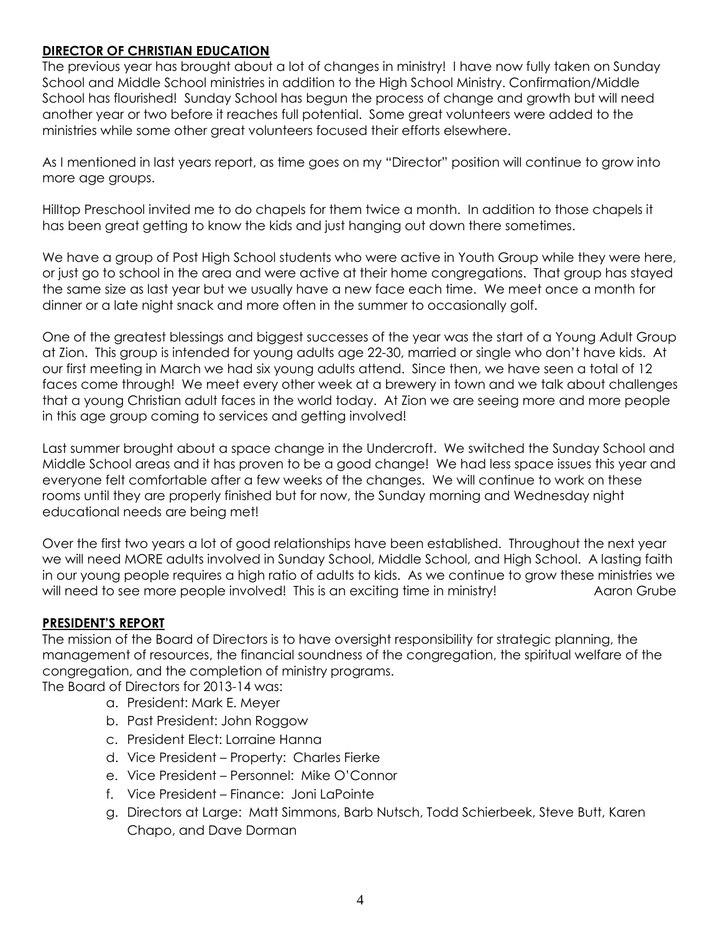# **DIRECTOR OF CHRISTIAN EDUCATION**

The previous year has brought about a lot of changes in ministry! I have now fully taken on Sunday School and Middle School ministries in addition to the High School Ministry. Confirmation/Middle School has flourished! Sunday School has begun the process of change and growth but will need another year or two before it reaches full potential. Some great volunteers were added to the ministries while some other great volunteers focused their efforts elsewhere.

As I mentioned in last years report, as time goes on my "Director" position will continue to grow into more age groups.

Hilltop Preschool invited me to do chapels for them twice a month. In addition to those chapels it has been great getting to know the kids and just hanging out down there sometimes.

We have a group of Post High School students who were active in Youth Group while they were here, or just go to school in the area and were active at their home congregations. That group has stayed the same size as last year but we usually have a new face each time. We meet once a month for dinner or a late night snack and more often in the summer to occasionally golf.

One of the greatest blessings and biggest successes of the year was the start of a Young Adult Group at Zion. This group is intended for young adults age 22-30, married or single who don't have kids. At our first meeting in March we had six young adults attend. Since then, we have seen a total of 12 faces come through! We meet every other week at a brewery in town and we talk about challenges that a young Christian adult faces in the world today. At Zion we are seeing more and more people in this age group coming to services and getting involved!

Last summer brought about a space change in the Undercroft. We switched the Sunday School and Middle School areas and it has proven to be a good change! We had less space issues this year and everyone felt comfortable after a few weeks of the changes. We will continue to work on these rooms until they are properly finished but for now, the Sunday morning and Wednesday night educational needs are being met!

Over the first two years a lot of good relationships have been established. Throughout the next year we will need MORE adults involved in Sunday School, Middle School, and High School. A lasting faith in our young people requires a high ratio of adults to kids. As we continue to grow these ministries we will need to see more people involved! This is an exciting time in ministry! Aaron Grube

# **PRESIDENT'S REPORT**

The mission of the Board of Directors is to have oversight responsibility for strategic planning, the management of resources, the financial soundness of the congregation, the spiritual welfare of the congregation, and the completion of ministry programs.

The Board of Directors for 2013-14 was:

- a. President: Mark E. Meyer
- b. Past President: John Roggow
- c. President Elect: Lorraine Hanna
- d. Vice President Property: Charles Fierke
- e. Vice President Personnel: Mike O'Connor
- f. Vice President Finance: Joni LaPointe
- g. Directors at Large: Matt Simmons, Barb Nutsch, Todd Schierbeek, Steve Butt, Karen Chapo, and Dave Dorman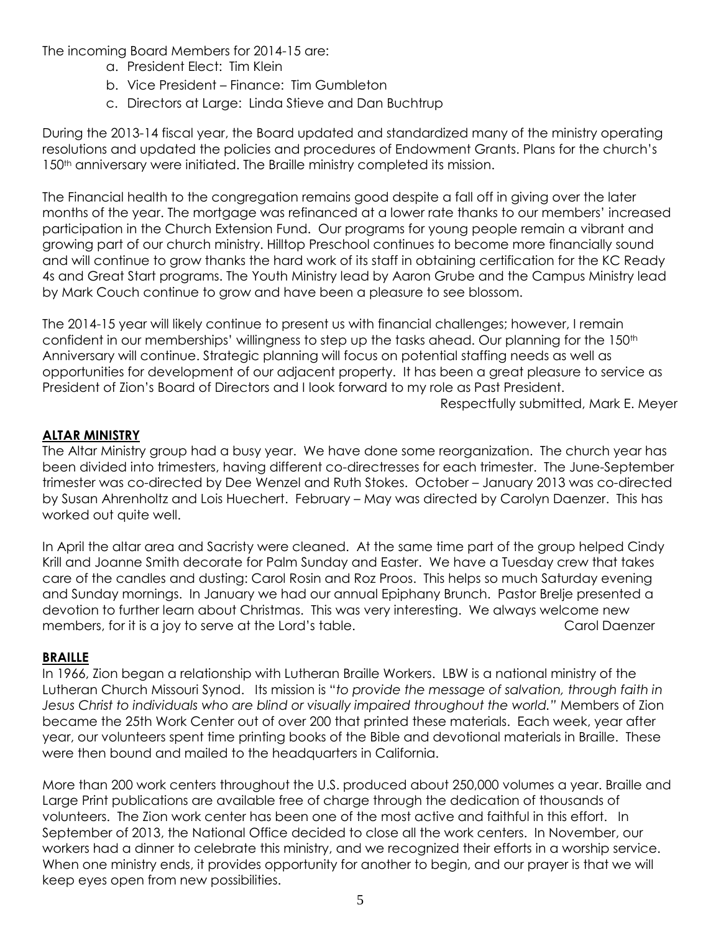The incoming Board Members for 2014-15 are:

- a. President Elect: Tim Klein
- b. Vice President Finance: Tim Gumbleton
- c. Directors at Large: Linda Stieve and Dan Buchtrup

During the 2013-14 fiscal year, the Board updated and standardized many of the ministry operating resolutions and updated the policies and procedures of Endowment Grants. Plans for the church's 150<sup>th</sup> anniversary were initiated. The Braille ministry completed its mission.

The Financial health to the congregation remains good despite a fall off in giving over the later months of the year. The mortgage was refinanced at a lower rate thanks to our members' increased participation in the Church Extension Fund. Our programs for young people remain a vibrant and growing part of our church ministry. Hilltop Preschool continues to become more financially sound and will continue to grow thanks the hard work of its staff in obtaining certification for the KC Ready 4s and Great Start programs. The Youth Ministry lead by Aaron Grube and the Campus Ministry lead by Mark Couch continue to grow and have been a pleasure to see blossom.

The 2014-15 year will likely continue to present us with financial challenges; however, I remain confident in our memberships' willingness to step up the tasks ahead. Our planning for the 150<sup>th</sup> Anniversary will continue. Strategic planning will focus on potential staffing needs as well as opportunities for development of our adjacent property. It has been a great pleasure to service as President of Zion's Board of Directors and I look forward to my role as Past President.

Respectfully submitted, Mark E. Meyer

# **ALTAR MINISTRY**

The Altar Ministry group had a busy year. We have done some reorganization. The church year has been divided into trimesters, having different co-directresses for each trimester. The June-September trimester was co-directed by Dee Wenzel and Ruth Stokes. October – January 2013 was co-directed by Susan Ahrenholtz and Lois Huechert. February – May was directed by Carolyn Daenzer. This has worked out quite well.

In April the altar area and Sacristy were cleaned. At the same time part of the group helped Cindy Krill and Joanne Smith decorate for Palm Sunday and Easter. We have a Tuesday crew that takes care of the candles and dusting: Carol Rosin and Roz Proos. This helps so much Saturday evening and Sunday mornings. In January we had our annual Epiphany Brunch. Pastor Brelje presented a devotion to further learn about Christmas. This was very interesting. We always welcome new members, for it is a joy to serve at the Lord's table. Carol Carol Daenzer

# **BRAILLE**

In 1966, Zion began a relationship with Lutheran Braille Workers. LBW is a national ministry of the Lutheran Church Missouri Synod. Its mission is "*to provide the message of salvation, through faith in Jesus Christ to individuals who are blind or visually impaired throughout the world."* Members of Zion became the 25th Work Center out of over 200 that printed these materials. Each week, year after year, our volunteers spent time printing books of the Bible and devotional materials in Braille. These were then bound and mailed to the headquarters in California.

More than 200 work centers throughout the U.S. produced about 250,000 volumes a year. Braille and Large Print publications are available free of charge through the dedication of thousands of volunteers. The Zion work center has been one of the most active and faithful in this effort. In September of 2013, the National Office decided to close all the work centers. In November, our workers had a dinner to celebrate this ministry, and we recognized their efforts in a worship service. When one ministry ends, it provides opportunity for another to begin, and our prayer is that we will keep eyes open from new possibilities.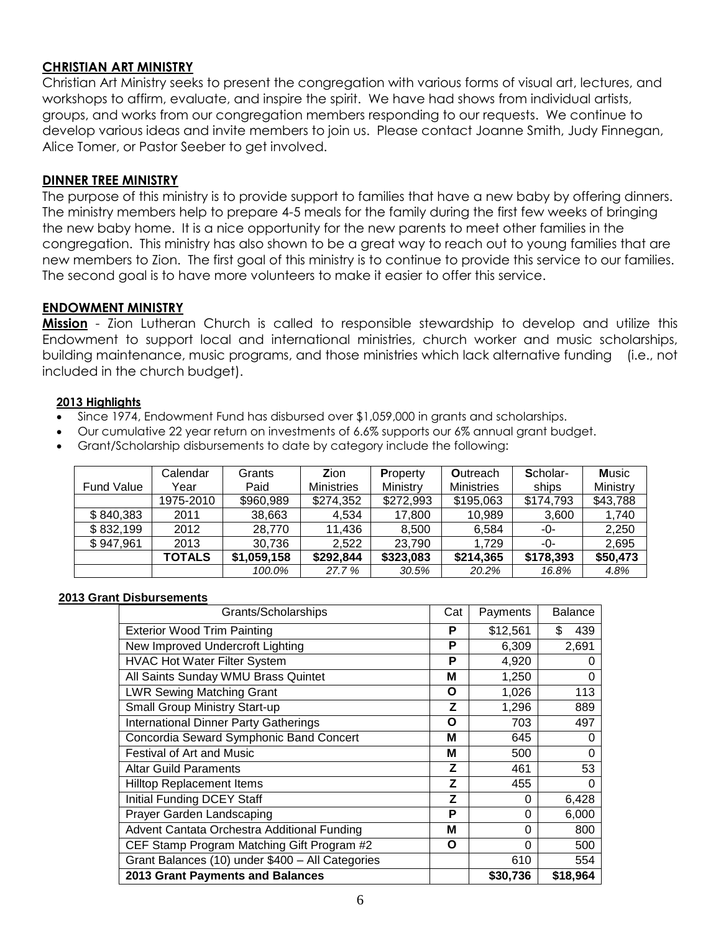## **CHRISTIAN ART MINISTRY**

Christian Art Ministry seeks to present the congregation with various forms of visual art, lectures, and workshops to affirm, evaluate, and inspire the spirit. We have had shows from individual artists, groups, and works from our congregation members responding to our requests. We continue to develop various ideas and invite members to join us. Please contact Joanne Smith, Judy Finnegan, Alice Tomer, or Pastor Seeber to get involved.

#### **DINNER TREE MINISTRY**

The purpose of this ministry is to provide support to families that have a new baby by offering dinners. The ministry members help to prepare 4-5 meals for the family during the first few weeks of bringing the new baby home. It is a nice opportunity for the new parents to meet other families in the congregation. This ministry has also shown to be a great way to reach out to young families that are new members to Zion. The first goal of this ministry is to continue to provide this service to our families. The second goal is to have more volunteers to make it easier to offer this service.

#### **ENDOWMENT MINISTRY**

**Mission** - Zion Lutheran Church is called to responsible stewardship to develop and utilize this Endowment to support local and international ministries, church worker and music scholarships, building maintenance, music programs, and those ministries which lack alternative funding (i.e., not included in the church budget).

#### **2013 Highlights**

- Since 1974, Endowment Fund has disbursed over \$1,059,000 in grants and scholarships.
- Our cumulative 22 year return on investments of 6.6% supports our 6% annual grant budget.
- Grant/Scholarship disbursements to date by category include the following:

|                   | Calendar      | Grants      | Zion              | <b>Property</b> | <b>Outreach</b>   | Scholar-  | <b>Music</b> |
|-------------------|---------------|-------------|-------------------|-----------------|-------------------|-----------|--------------|
| <b>Fund Value</b> | Year          | Paid        | <b>Ministries</b> | Ministry        | <b>Ministries</b> | ships     | Ministry     |
|                   | 1975-2010     | \$960,989   | \$274,352         | \$272,993       | \$195,063         | \$174,793 | \$43,788     |
| \$840,383         | 2011          | 38,663      | 4.534             | 17,800          | 10,989            | 3,600     | 1,740        |
| \$832,199         | 2012          | 28,770      | 11.436            | 8.500           | 6,584             | -0-       | 2,250        |
| \$947,961         | 2013          | 30,736      | 2.522             | 23.790          | 1.729             | -0-       | 2,695        |
|                   | <b>TOTALS</b> | \$1,059,158 | \$292,844         | \$323,083       | \$214,365         | \$178,393 | \$50,473     |
|                   |               | 100.0%      | 27.7 %            | 30.5%           | 20.2%             | 16.8%     | 4.8%         |

#### **2013 Grant Disbursements**

| Grants/Scholarships                              | Cat | Payments | <b>Balance</b> |
|--------------------------------------------------|-----|----------|----------------|
| <b>Exterior Wood Trim Painting</b>               | P   | \$12,561 | \$.<br>439     |
| New Improved Undercroft Lighting                 | Р   | 6,309    | 2,691          |
| <b>HVAC Hot Water Filter System</b>              | Р   | 4,920    | 0              |
| All Saints Sunday WMU Brass Quintet              | M   | 1,250    | 0              |
| <b>LWR Sewing Matching Grant</b>                 | Ο   | 1,026    | 113            |
| <b>Small Group Ministry Start-up</b>             | z   | 1,296    | 889            |
| <b>International Dinner Party Gatherings</b>     | O   | 703      | 497            |
| Concordia Seward Symphonic Band Concert          | М   | 645      | 0              |
| <b>Festival of Art and Music</b>                 | М   | 500      | 0              |
| <b>Altar Guild Paraments</b>                     | Z   | 461      | 53             |
| <b>Hilltop Replacement Items</b>                 | Z   | 455      | 0              |
| Initial Funding DCEY Staff                       | Z   | 0        | 6,428          |
| Prayer Garden Landscaping                        | P   | 0        | 6,000          |
| Advent Cantata Orchestra Additional Funding      | M   | 0        | 800            |
| CEF Stamp Program Matching Gift Program #2       | Ο   | $\Omega$ | 500            |
| Grant Balances (10) under \$400 - All Categories |     | 610      | 554            |
| 2013 Grant Payments and Balances                 |     | \$30,736 | \$18,964       |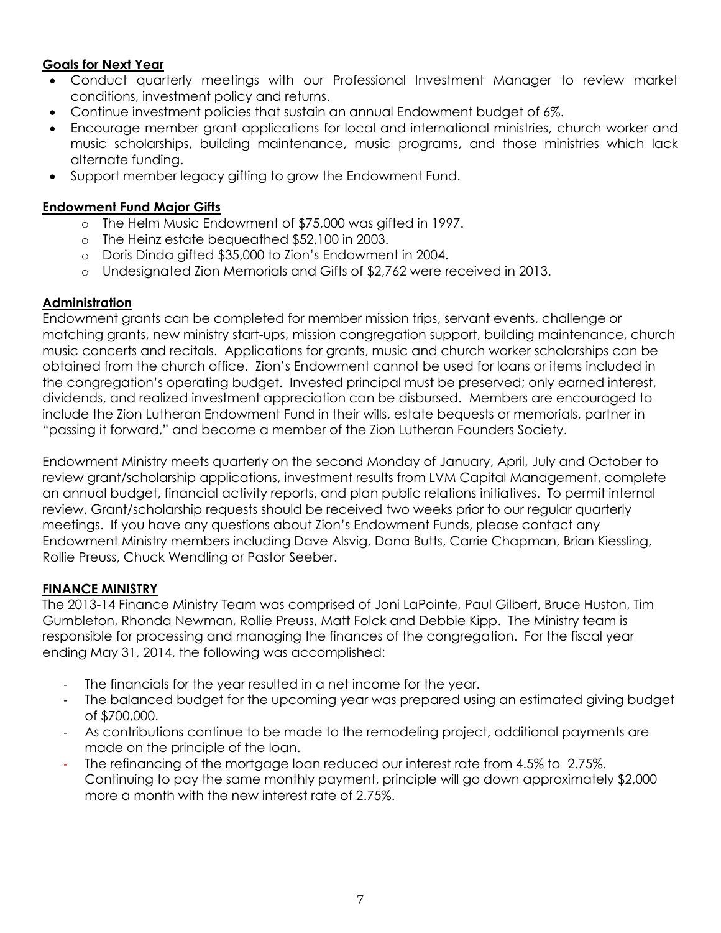# **Goals for Next Year**

- Conduct quarterly meetings with our Professional Investment Manager to review market conditions, investment policy and returns.
- Continue investment policies that sustain an annual Endowment budget of 6%.
- Encourage member grant applications for local and international ministries, church worker and music scholarships, building maintenance, music programs, and those ministries which lack alternate funding.
- Support member legacy gifting to grow the Endowment Fund.

# **Endowment Fund Major Gifts**

- o The Helm Music Endowment of \$75,000 was gifted in 1997.
- o The Heinz estate bequeathed \$52,100 in 2003.
- o Doris Dinda gifted \$35,000 to Zion's Endowment in 2004.
- o Undesignated Zion Memorials and Gifts of \$2,762 were received in 2013.

# **Administration**

Endowment grants can be completed for member mission trips, servant events, challenge or matching grants, new ministry start-ups, mission congregation support, building maintenance, church music concerts and recitals. Applications for grants, music and church worker scholarships can be obtained from the church office. Zion's Endowment cannot be used for loans or items included in the congregation's operating budget. Invested principal must be preserved; only earned interest, dividends, and realized investment appreciation can be disbursed.Members are encouraged to include the Zion Lutheran Endowment Fund in their wills, estate bequests or memorials, partner in "passing it forward," and become a member of the Zion Lutheran Founders Society.

Endowment Ministry meets quarterly on the second Monday of January, April, July and October to review grant/scholarship applications, investment results from LVM Capital Management, complete an annual budget, financial activity reports, and plan public relations initiatives. To permit internal review, Grant/scholarship requests should be received two weeks prior to our regular quarterly meetings. If you have any questions about Zion's Endowment Funds, please contact any Endowment Ministry members including Dave Alsvig, Dana Butts, Carrie Chapman, Brian Kiessling, Rollie Preuss, Chuck Wendling or Pastor Seeber.

# **FINANCE MINISTRY**

The 2013-14 Finance Ministry Team was comprised of Joni LaPointe, Paul Gilbert, Bruce Huston, Tim Gumbleton, Rhonda Newman, Rollie Preuss, Matt Folck and Debbie Kipp. The Ministry team is responsible for processing and managing the finances of the congregation. For the fiscal year ending May 31, 2014, the following was accomplished:

- The financials for the year resulted in a net income for the year.
- The balanced budget for the upcoming year was prepared using an estimated giving budget of \$700,000.
- As contributions continue to be made to the remodeling project, additional payments are made on the principle of the loan.
- The refinancing of the mortgage loan reduced our interest rate from 4.5% to 2.75%. Continuing to pay the same monthly payment, principle will go down approximately \$2,000 more a month with the new interest rate of 2.75%.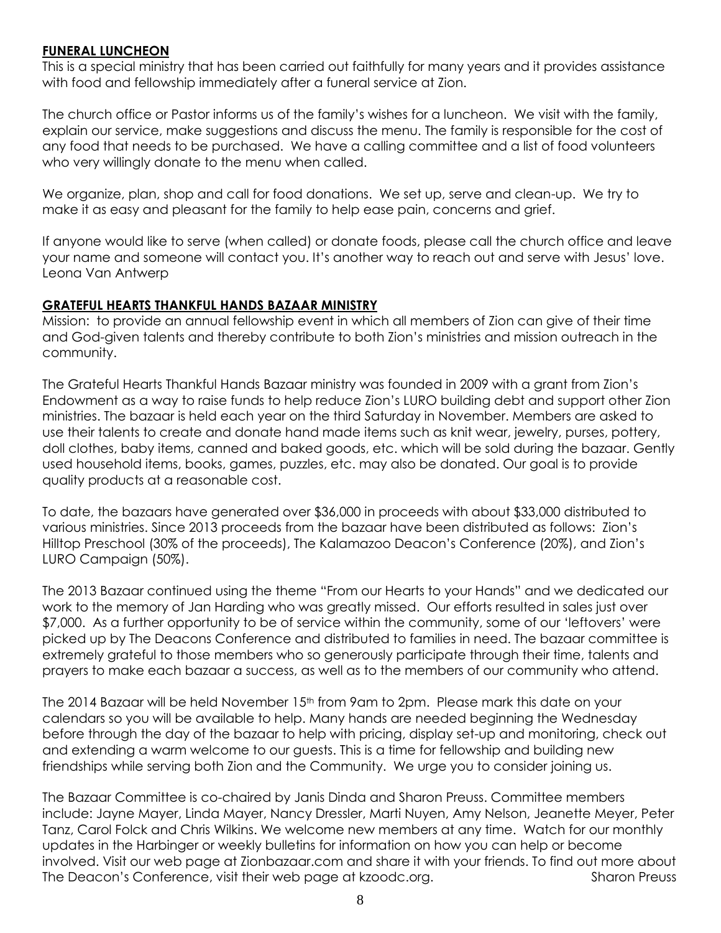## **FUNERAL LUNCHEON**

This is a special ministry that has been carried out faithfully for many years and it provides assistance with food and fellowship immediately after a funeral service at Zion.

The church office or Pastor informs us of the family's wishes for a luncheon. We visit with the family, explain our service, make suggestions and discuss the menu. The family is responsible for the cost of any food that needs to be purchased. We have a calling committee and a list of food volunteers who very willingly donate to the menu when called.

We organize, plan, shop and call for food donations. We set up, serve and clean-up. We try to make it as easy and pleasant for the family to help ease pain, concerns and grief.

If anyone would like to serve (when called) or donate foods, please call the church office and leave your name and someone will contact you. It's another way to reach out and serve with Jesus' love. Leona Van Antwerp

## **GRATEFUL HEARTS THANKFUL HANDS BAZAAR MINISTRY**

Mission: to provide an annual fellowship event in which all members of Zion can give of their time and God-given talents and thereby contribute to both Zion's ministries and mission outreach in the community.

The Grateful Hearts Thankful Hands Bazaar ministry was founded in 2009 with a grant from Zion's Endowment as a way to raise funds to help reduce Zion's LURO building debt and support other Zion ministries. The bazaar is held each year on the third Saturday in November. Members are asked to use their talents to create and donate hand made items such as knit wear, jewelry, purses, pottery, doll clothes, baby items, canned and baked goods, etc. which will be sold during the bazaar. Gently used household items, books, games, puzzles, etc. may also be donated. Our goal is to provide quality products at a reasonable cost.

To date, the bazaars have generated over \$36,000 in proceeds with about \$33,000 distributed to various ministries. Since 2013 proceeds from the bazaar have been distributed as follows: Zion's Hilltop Preschool (30% of the proceeds), The Kalamazoo Deacon's Conference (20%), and Zion's LURO Campaign (50%).

The 2013 Bazaar continued using the theme "From our Hearts to your Hands" and we dedicated our work to the memory of Jan Harding who was greatly missed. Our efforts resulted in sales just over \$7,000. As a further opportunity to be of service within the community, some of our 'leftovers' were picked up by The Deacons Conference and distributed to families in need. The bazaar committee is extremely grateful to those members who so generously participate through their time, talents and prayers to make each bazaar a success, as well as to the members of our community who attend.

The 2014 Bazaar will be held November 15<sup>th</sup> from 9am to 2pm. Please mark this date on your calendars so you will be available to help. Many hands are needed beginning the Wednesday before through the day of the bazaar to help with pricing, display set-up and monitoring, check out and extending a warm welcome to our guests. This is a time for fellowship and building new friendships while serving both Zion and the Community. We urge you to consider joining us.

The Bazaar Committee is co-chaired by Janis Dinda and Sharon Preuss. Committee members include: Jayne Mayer, Linda Mayer, Nancy Dressler, Marti Nuyen, Amy Nelson, Jeanette Meyer, Peter Tanz, Carol Folck and Chris Wilkins. We welcome new members at any time. Watch for our monthly updates in the Harbinger or weekly bulletins for information on how you can help or become involved. Visit our web page at Zionbazaar.com and share it with your friends. To find out more about The Deacon's Conference, visit their web page at kzoodc.org. Sharon Preuss Sharon Preuss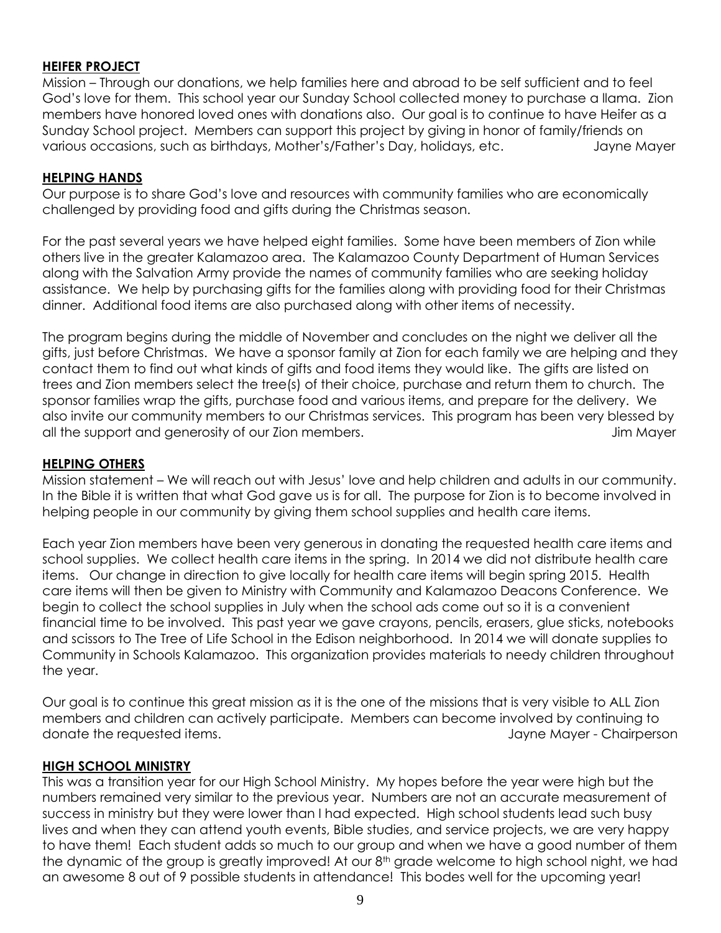## **HEIFER PROJECT**

Mission – Through our donations, we help families here and abroad to be self sufficient and to feel God's love for them. This school year our Sunday School collected money to purchase a llama. Zion members have honored loved ones with donations also. Our goal is to continue to have Heifer as a Sunday School project. Members can support this project by giving in honor of family/friends on various occasions, such as birthdays, Mother's/Father's Day, holidays, etc. Jayne Mayer

#### **HELPING HANDS**

Our purpose is to share God's love and resources with community families who are economically challenged by providing food and gifts during the Christmas season.

For the past several years we have helped eight families. Some have been members of Zion while others live in the greater Kalamazoo area. The Kalamazoo County Department of Human Services along with the Salvation Army provide the names of community families who are seeking holiday assistance. We help by purchasing gifts for the families along with providing food for their Christmas dinner. Additional food items are also purchased along with other items of necessity.

The program begins during the middle of November and concludes on the night we deliver all the gifts, just before Christmas. We have a sponsor family at Zion for each family we are helping and they contact them to find out what kinds of gifts and food items they would like. The gifts are listed on trees and Zion members select the tree(s) of their choice, purchase and return them to church. The sponsor families wrap the gifts, purchase food and various items, and prepare for the delivery. We also invite our community members to our Christmas services. This program has been very blessed by all the support and generosity of our Zion members. The supervalues of the support and generosity of our Zion members.

#### **HELPING OTHERS**

Mission statement – We will reach out with Jesus' love and help children and adults in our community. In the Bible it is written that what God gave us is for all. The purpose for Zion is to become involved in helping people in our community by giving them school supplies and health care items.

Each year Zion members have been very generous in donating the requested health care items and school supplies. We collect health care items in the spring. In 2014 we did not distribute health care items. Our change in direction to give locally for health care items will begin spring 2015. Health care items will then be given to Ministry with Community and Kalamazoo Deacons Conference. We begin to collect the school supplies in July when the school ads come out so it is a convenient financial time to be involved. This past year we gave crayons, pencils, erasers, glue sticks, notebooks and scissors to The Tree of Life School in the Edison neighborhood. In 2014 we will donate supplies to Community in Schools Kalamazoo. This organization provides materials to needy children throughout the year.

Our goal is to continue this great mission as it is the one of the missions that is very visible to ALL Zion members and children can actively participate. Members can become involved by continuing to donate the requested items. Jayne Mayer - Chairperson

#### **HIGH SCHOOL MINISTRY**

This was a transition year for our High School Ministry. My hopes before the year were high but the numbers remained very similar to the previous year. Numbers are not an accurate measurement of success in ministry but they were lower than I had expected. High school students lead such busy lives and when they can attend youth events, Bible studies, and service projects, we are very happy to have them! Each student adds so much to our group and when we have a good number of them the dynamic of the group is greatly improved! At our 8<sup>th</sup> grade welcome to high school night, we had an awesome 8 out of 9 possible students in attendance! This bodes well for the upcoming year!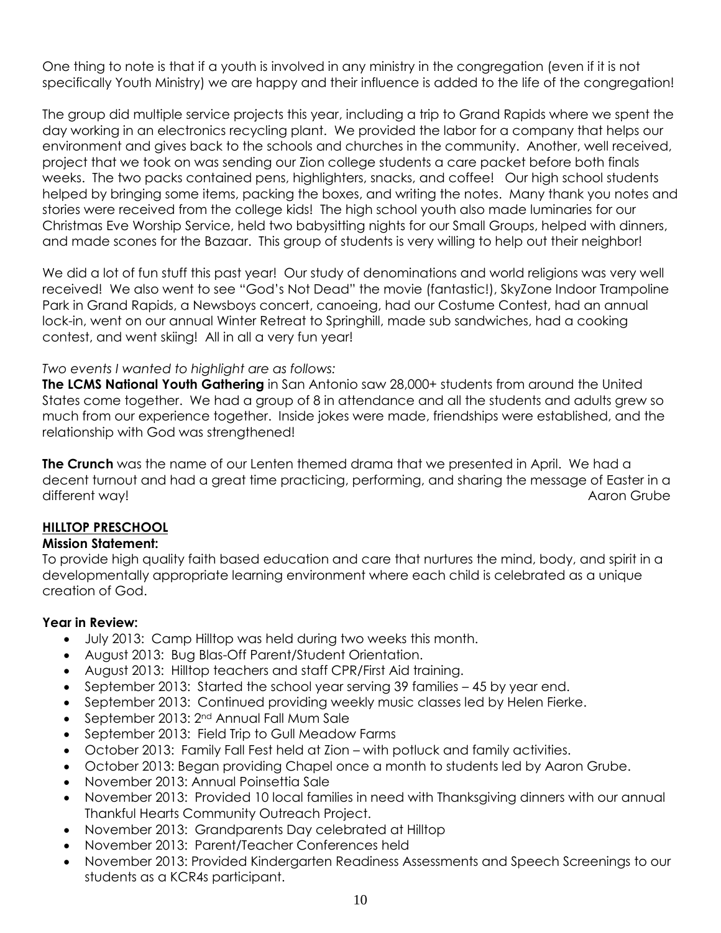One thing to note is that if a youth is involved in any ministry in the congregation (even if it is not specifically Youth Ministry) we are happy and their influence is added to the life of the congregation!

The group did multiple service projects this year, including a trip to Grand Rapids where we spent the day working in an electronics recycling plant. We provided the labor for a company that helps our environment and gives back to the schools and churches in the community. Another, well received, project that we took on was sending our Zion college students a care packet before both finals weeks. The two packs contained pens, highlighters, snacks, and coffee! Our high school students helped by bringing some items, packing the boxes, and writing the notes. Many thank you notes and stories were received from the college kids! The high school youth also made luminaries for our Christmas Eve Worship Service, held two babysitting nights for our Small Groups, helped with dinners, and made scones for the Bazaar. This group of students is very willing to help out their neighbor!

We did a lot of fun stuff this past year! Our study of denominations and world religions was very well received! We also went to see "God's Not Dead" the movie (fantastic!), SkyZone Indoor Trampoline Park in Grand Rapids, a Newsboys concert, canoeing, had our Costume Contest, had an annual lock-in, went on our annual Winter Retreat to Springhill, made sub sandwiches, had a cooking contest, and went skiing! All in all a very fun year!

## *Two events I wanted to highlight are as follows:*

**The LCMS National Youth Gathering** in San Antonio saw 28,000+ students from around the United States come together. We had a group of 8 in attendance and all the students and adults grew so much from our experience together. Inside jokes were made, friendships were established, and the relationship with God was strengthened!

**The Crunch** was the name of our Lenten themed drama that we presented in April. We had a decent turnout and had a great time practicing, performing, and sharing the message of Easter in a different way! Aaron Grube

# **HILLTOP PRESCHOOL**

#### **Mission Statement:**

To provide high quality faith based education and care that nurtures the mind, body, and spirit in a developmentally appropriate learning environment where each child is celebrated as a unique creation of God.

#### **Year in Review:**

- July 2013: Camp Hilltop was held during two weeks this month.
- August 2013: Bug Blas-Off Parent/Student Orientation.
- August 2013: Hilltop teachers and staff CPR/First Aid training.
- September 2013: Started the school year serving 39 families 45 by year end.
- September 2013: Continued providing weekly music classes led by Helen Fierke.
- September 2013: 2nd Annual Fall Mum Sale
- September 2013: Field Trip to Gull Meadow Farms
- October 2013: Family Fall Fest held at Zion with potluck and family activities.
- October 2013: Began providing Chapel once a month to students led by Aaron Grube.
- November 2013: Annual Poinsettia Sale
- November 2013: Provided 10 local families in need with Thanksgiving dinners with our annual Thankful Hearts Community Outreach Project.
- November 2013: Grandparents Day celebrated at Hilltop
- November 2013: Parent/Teacher Conferences held
- November 2013: Provided Kindergarten Readiness Assessments and Speech Screenings to our students as a KCR4s participant.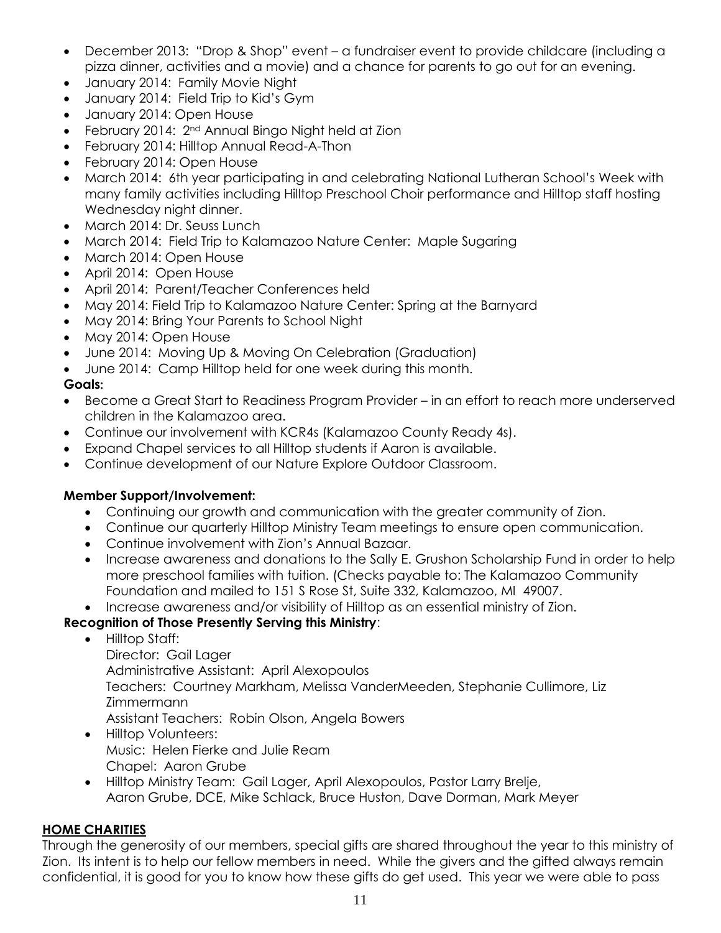- December 2013: "Drop & Shop" event a fundraiser event to provide childcare (including a pizza dinner, activities and a movie) and a chance for parents to go out for an evening.
- January 2014: Family Movie Night
- January 2014: Field Trip to Kid's Gym
- January 2014: Open House
- February 2014: 2nd Annual Bingo Night held at Zion
- February 2014: Hilltop Annual Read-A-Thon
- February 2014: Open House
- March 2014: 6th year participating in and celebrating National Lutheran School's Week with many family activities including Hilltop Preschool Choir performance and Hilltop staff hosting Wednesday night dinner.
- March 2014: Dr. Seuss Lunch
- March 2014: Field Trip to Kalamazoo Nature Center: Maple Sugaring
- March 2014: Open House
- April 2014: Open House
- April 2014: Parent/Teacher Conferences held
- May 2014: Field Trip to Kalamazoo Nature Center: Spring at the Barnyard
- May 2014: Bring Your Parents to School Night
- May 2014: Open House
- June 2014: Moving Up & Moving On Celebration (Graduation)
- June 2014: Camp Hilltop held for one week during this month.

# **Goals:**

- Become a Great Start to Readiness Program Provider in an effort to reach more underserved children in the Kalamazoo area.
- Continue our involvement with KCR4s (Kalamazoo County Ready 4s).
- Expand Chapel services to all Hilltop students if Aaron is available.
- Continue development of our Nature Explore Outdoor Classroom.

# **Member Support/Involvement:**

- Continuing our growth and communication with the greater community of Zion.
- Continue our quarterly Hilltop Ministry Team meetings to ensure open communication.
- Continue involvement with Zion's Annual Bazaar.
- Increase awareness and donations to the Sally E. Grushon Scholarship Fund in order to help more preschool families with tuition. (Checks payable to: The Kalamazoo Community Foundation and mailed to 151 S Rose St, Suite 332, Kalamazoo, MI 49007.
- Increase awareness and/or visibility of Hilltop as an essential ministry of Zion.

# **Recognition of Those Presently Serving this Ministry**:

- Hilltop Staff: Director: Gail Lager Administrative Assistant: April Alexopoulos Teachers: Courtney Markham, Melissa VanderMeeden, Stephanie Cullimore, Liz Zimmermann Assistant Teachers: Robin Olson, Angela Bowers
- Hilltop Volunteers: Music: Helen Fierke and Julie Ream Chapel: Aaron Grube
- Hilltop Ministry Team: Gail Lager, April Alexopoulos, Pastor Larry Brelje, Aaron Grube, DCE, Mike Schlack, Bruce Huston, Dave Dorman, Mark Meyer

# **HOME CHARITIES**

Through the generosity of our members, special gifts are shared throughout the year to this ministry of Zion. Its intent is to help our fellow members in need. While the givers and the gifted always remain confidential, it is good for you to know how these gifts do get used. This year we were able to pass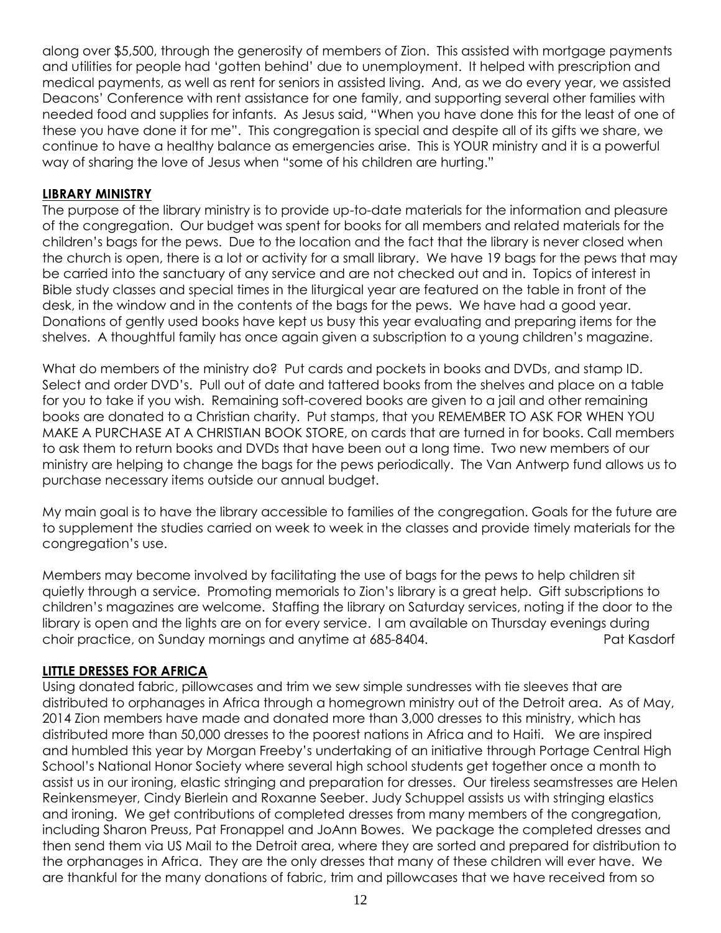along over \$5,500, through the generosity of members of Zion. This assisted with mortgage payments and utilities for people had 'gotten behind' due to unemployment. It helped with prescription and medical payments, as well as rent for seniors in assisted living. And, as we do every year, we assisted Deacons' Conference with rent assistance for one family, and supporting several other families with needed food and supplies for infants. As Jesus said, "When you have done this for the least of one of these you have done it for me". This congregation is special and despite all of its gifts we share, we continue to have a healthy balance as emergencies arise. This is YOUR ministry and it is a powerful way of sharing the love of Jesus when "some of his children are hurting."

#### **LIBRARY MINISTRY**

The purpose of the library ministry is to provide up-to-date materials for the information and pleasure of the congregation. Our budget was spent for books for all members and related materials for the children's bags for the pews. Due to the location and the fact that the library is never closed when the church is open, there is a lot or activity for a small library. We have 19 bags for the pews that may be carried into the sanctuary of any service and are not checked out and in. Topics of interest in Bible study classes and special times in the liturgical year are featured on the table in front of the desk, in the window and in the contents of the bags for the pews. We have had a good year. Donations of gently used books have kept us busy this year evaluating and preparing items for the shelves. A thoughtful family has once again given a subscription to a young children's magazine.

What do members of the ministry do? Put cards and pockets in books and DVDs, and stamp ID. Select and order DVD's. Pull out of date and tattered books from the shelves and place on a table for you to take if you wish. Remaining soft-covered books are given to a jail and other remaining books are donated to a Christian charity. Put stamps, that you REMEMBER TO ASK FOR WHEN YOU MAKE A PURCHASE AT A CHRISTIAN BOOK STORE, on cards that are turned in for books. Call members to ask them to return books and DVDs that have been out a long time. Two new members of our ministry are helping to change the bags for the pews periodically. The Van Antwerp fund allows us to purchase necessary items outside our annual budget.

My main goal is to have the library accessible to families of the congregation. Goals for the future are to supplement the studies carried on week to week in the classes and provide timely materials for the congregation's use.

Members may become involved by facilitating the use of bags for the pews to help children sit quietly through a service. Promoting memorials to Zion's library is a great help. Gift subscriptions to children's magazines are welcome. Staffing the library on Saturday services, noting if the door to the library is open and the lights are on for every service. I am available on Thursday evenings during choir practice, on Sunday mornings and anytime at 685-8404. Pat Kasdorf

#### **LITTLE DRESSES FOR AFRICA**

Using donated fabric, pillowcases and trim we sew simple sundresses with tie sleeves that are distributed to orphanages in Africa through a homegrown ministry out of the Detroit area. As of May, 2014 Zion members have made and donated more than 3,000 dresses to this ministry, which has distributed more than 50,000 dresses to the poorest nations in Africa and to Haiti. We are inspired and humbled this year by Morgan Freeby's undertaking of an initiative through Portage Central High School's National Honor Society where several high school students get together once a month to assist us in our ironing, elastic stringing and preparation for dresses. Our tireless seamstresses are Helen Reinkensmeyer, Cindy Bierlein and Roxanne Seeber. Judy Schuppel assists us with stringing elastics and ironing. We get contributions of completed dresses from many members of the congregation, including Sharon Preuss, Pat Fronappel and JoAnn Bowes. We package the completed dresses and then send them via US Mail to the Detroit area, where they are sorted and prepared for distribution to the orphanages in Africa. They are the only dresses that many of these children will ever have. We are thankful for the many donations of fabric, trim and pillowcases that we have received from so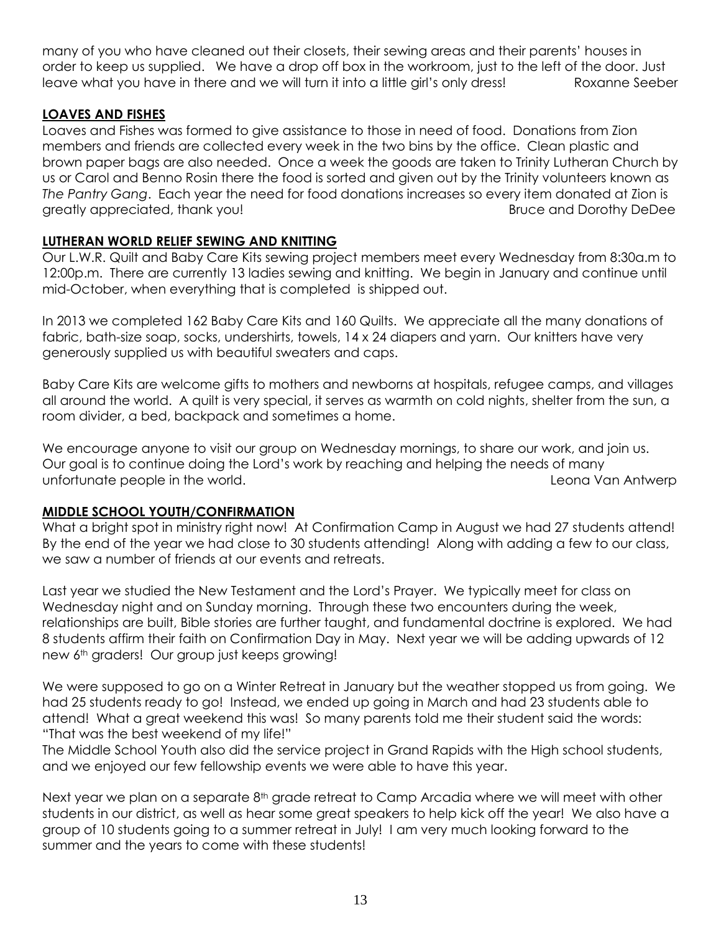many of you who have cleaned out their closets, their sewing areas and their parents' houses in order to keep us supplied. We have a drop off box in the workroom, just to the left of the door. Just leave what you have in there and we will turn it into a little girl's only dress! Roxanne Seeber

## **LOAVES AND FISHES**

Loaves and Fishes was formed to give assistance to those in need of food. Donations from Zion members and friends are collected every week in the two bins by the office. Clean plastic and brown paper bags are also needed. Once a week the goods are taken to Trinity Lutheran Church by us or Carol and Benno Rosin there the food is sorted and given out by the Trinity volunteers known as *The Pantry Gang*. Each year the need for food donations increases so every item donated at Zion is greatly appreciated, thank you! Bruce and Dorothy DeDee

# **LUTHERAN WORLD RELIEF SEWING AND KNITTING**

Our L.W.R. Quilt and Baby Care Kits sewing project members meet every Wednesday from 8:30a.m to 12:00p.m. There are currently 13 ladies sewing and knitting. We begin in January and continue until mid-October, when everything that is completed is shipped out.

In 2013 we completed 162 Baby Care Kits and 160 Quilts. We appreciate all the many donations of fabric, bath-size soap, socks, undershirts, towels, 14 x 24 diapers and yarn. Our knitters have very generously supplied us with beautiful sweaters and caps.

Baby Care Kits are welcome gifts to mothers and newborns at hospitals, refugee camps, and villages all around the world. A quilt is very special, it serves as warmth on cold nights, shelter from the sun, a room divider, a bed, backpack and sometimes a home.

We encourage anyone to visit our group on Wednesday mornings, to share our work, and join us. Our goal is to continue doing the Lord's work by reaching and helping the needs of many unfortunate people in the world. Leona Van Antwerp

# **MIDDLE SCHOOL YOUTH/CONFIRMATION**

What a bright spot in ministry right now! At Confirmation Camp in August we had 27 students attend! By the end of the year we had close to 30 students attending! Along with adding a few to our class, we saw a number of friends at our events and retreats.

Last year we studied the New Testament and the Lord's Prayer. We typically meet for class on Wednesday night and on Sunday morning. Through these two encounters during the week, relationships are built, Bible stories are further taught, and fundamental doctrine is explored. We had 8 students affirm their faith on Confirmation Day in May. Next year we will be adding upwards of 12 new 6<sup>th</sup> graders! Our group just keeps growing!

We were supposed to go on a Winter Retreat in January but the weather stopped us from going. We had 25 students ready to go! Instead, we ended up going in March and had 23 students able to attend! What a great weekend this was! So many parents told me their student said the words: "That was the best weekend of my life!"

The Middle School Youth also did the service project in Grand Rapids with the High school students, and we enjoyed our few fellowship events we were able to have this year.

Next year we plan on a separate 8<sup>th</sup> grade retreat to Camp Arcadia where we will meet with other students in our district, as well as hear some great speakers to help kick off the year! We also have a group of 10 students going to a summer retreat in July! I am very much looking forward to the summer and the years to come with these students!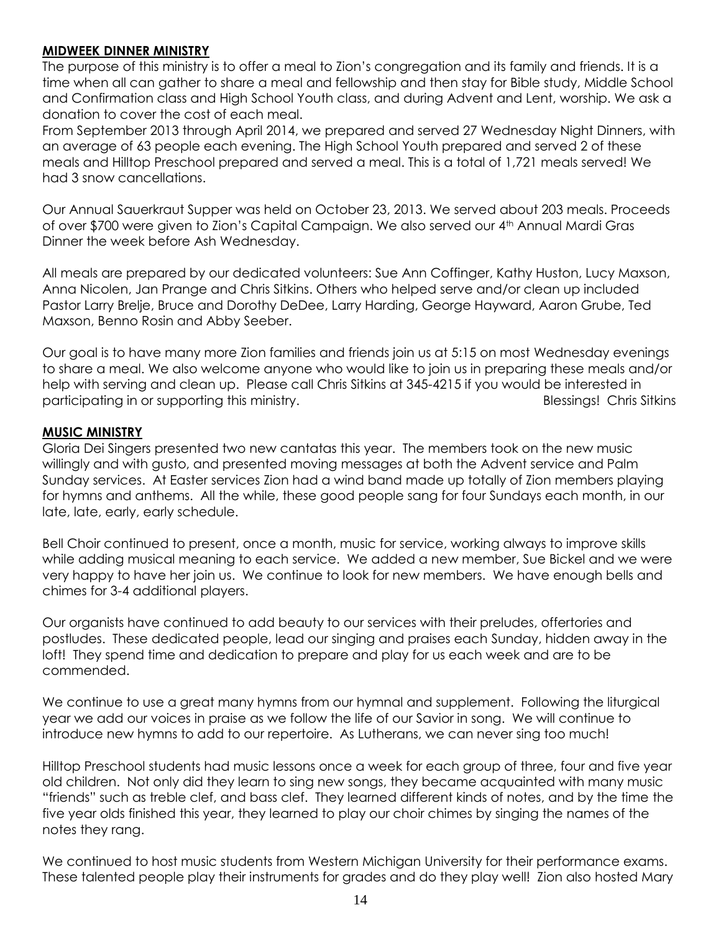## **MIDWEEK DINNER MINISTRY**

The purpose of this ministry is to offer a meal to Zion's congregation and its family and friends. It is a time when all can gather to share a meal and fellowship and then stay for Bible study, Middle School and Confirmation class and High School Youth class, and during Advent and Lent, worship. We ask a donation to cover the cost of each meal.

From September 2013 through April 2014, we prepared and served 27 Wednesday Night Dinners, with an average of 63 people each evening. The High School Youth prepared and served 2 of these meals and Hilltop Preschool prepared and served a meal. This is a total of 1,721 meals served! We had 3 snow cancellations.

Our Annual Sauerkraut Supper was held on October 23, 2013. We served about 203 meals. Proceeds of over \$700 were given to Zion's Capital Campaign. We also served our 4th Annual Mardi Gras Dinner the week before Ash Wednesday.

All meals are prepared by our dedicated volunteers: Sue Ann Coffinger, Kathy Huston, Lucy Maxson, Anna Nicolen, Jan Prange and Chris Sitkins. Others who helped serve and/or clean up included Pastor Larry Brelje, Bruce and Dorothy DeDee, Larry Harding, George Hayward, Aaron Grube, Ted Maxson, Benno Rosin and Abby Seeber.

Our goal is to have many more Zion families and friends join us at 5:15 on most Wednesday evenings to share a meal. We also welcome anyone who would like to join us in preparing these meals and/or help with serving and clean up. Please call Chris Sitkins at 345-4215 if you would be interested in participating in or supporting this ministry. Blessings! Chris Sitkins

#### **MUSIC MINISTRY**

Gloria Dei Singers presented two new cantatas this year. The members took on the new music willingly and with gusto, and presented moving messages at both the Advent service and Palm Sunday services. At Easter services Zion had a wind band made up totally of Zion members playing for hymns and anthems. All the while, these good people sang for four Sundays each month, in our late, late, early, early schedule.

Bell Choir continued to present, once a month, music for service, working always to improve skills while adding musical meaning to each service. We added a new member, Sue Bickel and we were very happy to have her join us. We continue to look for new members. We have enough bells and chimes for 3-4 additional players.

Our organists have continued to add beauty to our services with their preludes, offertories and postludes. These dedicated people, lead our singing and praises each Sunday, hidden away in the loft! They spend time and dedication to prepare and play for us each week and are to be commended.

We continue to use a great many hymns from our hymnal and supplement. Following the liturgical year we add our voices in praise as we follow the life of our Savior in song. We will continue to introduce new hymns to add to our repertoire. As Lutherans, we can never sing too much!

Hilltop Preschool students had music lessons once a week for each group of three, four and five year old children. Not only did they learn to sing new songs, they became acquainted with many music "friends" such as treble clef, and bass clef. They learned different kinds of notes, and by the time the five year olds finished this year, they learned to play our choir chimes by singing the names of the notes they rang.

We continued to host music students from Western Michigan University for their performance exams. These talented people play their instruments for grades and do they play well! Zion also hosted Mary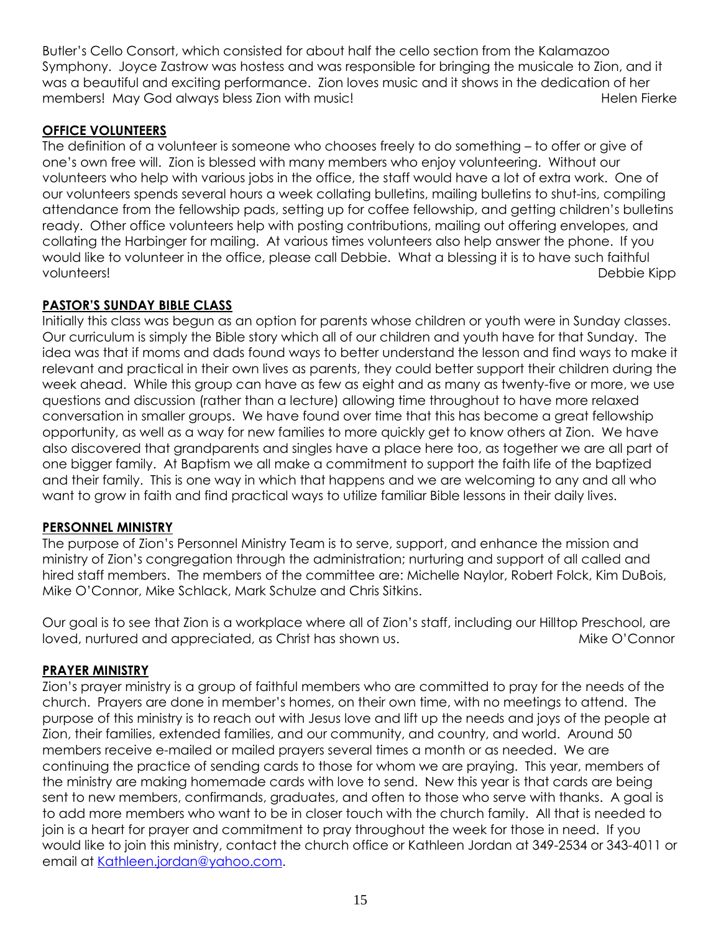Butler's Cello Consort, which consisted for about half the cello section from the Kalamazoo Symphony. Joyce Zastrow was hostess and was responsible for bringing the musicale to Zion, and it was a beautiful and exciting performance. Zion loves music and it shows in the dedication of her members! May God always bless Zion with music! 
Helen Fierke Helen Fierke

# **OFFICE VOLUNTEERS**

The definition of a volunteer is someone who chooses freely to do something – to offer or give of one's own free will. Zion is blessed with many members who enjoy volunteering. Without our volunteers who help with various jobs in the office, the staff would have a lot of extra work. One of our volunteers spends several hours a week collating bulletins, mailing bulletins to shut-ins, compiling attendance from the fellowship pads, setting up for coffee fellowship, and getting children's bulletins ready. Other office volunteers help with posting contributions, mailing out offering envelopes, and collating the Harbinger for mailing. At various times volunteers also help answer the phone. If you would like to volunteer in the office, please call Debbie. What a blessing it is to have such faithful volunteers! Debbie Kipp

# **PASTOR'S SUNDAY BIBLE CLASS**

Initially this class was begun as an option for parents whose children or youth were in Sunday classes. Our curriculum is simply the Bible story which all of our children and youth have for that Sunday. The idea was that if moms and dads found ways to better understand the lesson and find ways to make it relevant and practical in their own lives as parents, they could better support their children during the week ahead. While this group can have as few as eight and as many as twenty-five or more, we use questions and discussion (rather than a lecture) allowing time throughout to have more relaxed conversation in smaller groups. We have found over time that this has become a great fellowship opportunity, as well as a way for new families to more quickly get to know others at Zion. We have also discovered that grandparents and singles have a place here too, as together we are all part of one bigger family. At Baptism we all make a commitment to support the faith life of the baptized and their family. This is one way in which that happens and we are welcoming to any and all who want to grow in faith and find practical ways to utilize familiar Bible lessons in their daily lives.

# **PERSONNEL MINISTRY**

The purpose of Zion's Personnel Ministry Team is to serve, support, and enhance the mission and ministry of Zion's congregation through the administration; nurturing and support of all called and hired staff members. The members of the committee are: Michelle Naylor, Robert Folck, Kim DuBois, Mike O'Connor, Mike Schlack, Mark Schulze and Chris Sitkins.

Our goal is to see that Zion is a workplace where all of Zion's staff, including our Hilltop Preschool, are loved, nurtured and appreciated, as Christ has shown us. The Mike O'Connor

# **PRAYER MINISTRY**

Zion's prayer ministry is a group of faithful members who are committed to pray for the needs of the church. Prayers are done in member's homes, on their own time, with no meetings to attend. The purpose of this ministry is to reach out with Jesus love and lift up the needs and joys of the people at Zion, their families, extended families, and our community, and country, and world. Around 50 members receive e-mailed or mailed prayers several times a month or as needed. We are continuing the practice of sending cards to those for whom we are praying. This year, members of the ministry are making homemade cards with love to send. New this year is that cards are being sent to new members, confirmands, graduates, and often to those who serve with thanks. A goal is to add more members who want to be in closer touch with the church family. All that is needed to join is a heart for prayer and commitment to pray throughout the week for those in need. If you would like to join this ministry, contact the church office or Kathleen Jordan at 349-2534 or 343-4011 or email at [Kathleen.jordan@yahoo.com.](mailto:Kathleen.jordan@yahoo.com)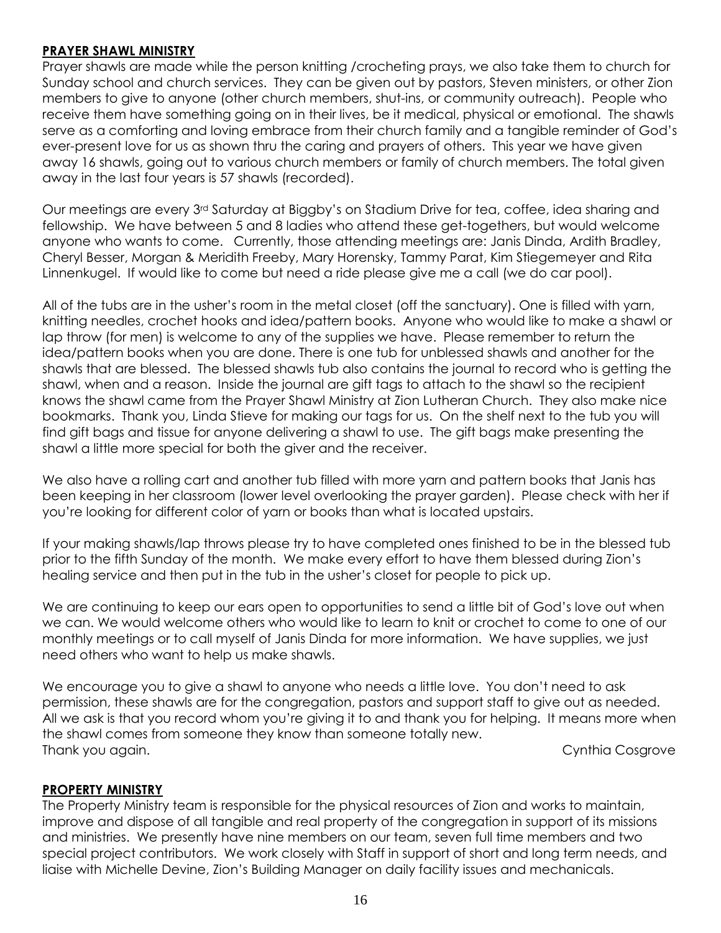## **PRAYER SHAWL MINISTRY**

Prayer shawls are made while the person knitting /crocheting prays, we also take them to church for Sunday school and church services. They can be given out by pastors, Steven ministers, or other Zion members to give to anyone (other church members, shut-ins, or community outreach). People who receive them have something going on in their lives, be it medical, physical or emotional. The shawls serve as a comforting and loving embrace from their church family and a tangible reminder of God's ever-present love for us as shown thru the caring and prayers of others. This year we have given away 16 shawls, going out to various church members or family of church members. The total given away in the last four years is 57 shawls (recorded).

Our meetings are every 3rd Saturday at Biggby's on Stadium Drive for tea, coffee, idea sharing and fellowship. We have between 5 and 8 ladies who attend these get-togethers, but would welcome anyone who wants to come. Currently, those attending meetings are: Janis Dinda, Ardith Bradley, Cheryl Besser, Morgan & Meridith Freeby, Mary Horensky, Tammy Parat, Kim Stiegemeyer and Rita Linnenkugel. If would like to come but need a ride please give me a call (we do car pool).

All of the tubs are in the usher's room in the metal closet (off the sanctuary). One is filled with yarn, knitting needles, crochet hooks and idea/pattern books. Anyone who would like to make a shawl or lap throw (for men) is welcome to any of the supplies we have. Please remember to return the idea/pattern books when you are done. There is one tub for unblessed shawls and another for the shawls that are blessed. The blessed shawls tub also contains the journal to record who is getting the shawl, when and a reason. Inside the journal are gift tags to attach to the shawl so the recipient knows the shawl came from the Prayer Shawl Ministry at Zion Lutheran Church. They also make nice bookmarks. Thank you, Linda Stieve for making our tags for us. On the shelf next to the tub you will find gift bags and tissue for anyone delivering a shawl to use. The gift bags make presenting the shawl a little more special for both the giver and the receiver.

We also have a rolling cart and another tub filled with more yarn and pattern books that Janis has been keeping in her classroom (lower level overlooking the prayer garden). Please check with her if you're looking for different color of yarn or books than what is located upstairs.

If your making shawls/lap throws please try to have completed ones finished to be in the blessed tub prior to the fifth Sunday of the month. We make every effort to have them blessed during Zion's healing service and then put in the tub in the usher's closet for people to pick up.

We are continuing to keep our ears open to opportunities to send a little bit of God's love out when we can. We would welcome others who would like to learn to knit or crochet to come to one of our monthly meetings or to call myself of Janis Dinda for more information. We have supplies, we just need others who want to help us make shawls.

We encourage you to give a shawl to anyone who needs a little love. You don't need to ask permission, these shawls are for the congregation, pastors and support staff to give out as needed. All we ask is that you record whom you're giving it to and thank you for helping. It means more when the shawl comes from someone they know than someone totally new. Thank you again. Cynthia Cosgrove

# **PROPERTY MINISTRY**

The Property Ministry team is responsible for the physical resources of Zion and works to maintain, improve and dispose of all tangible and real property of the congregation in support of its missions and ministries. We presently have nine members on our team, seven full time members and two special project contributors. We work closely with Staff in support of short and long term needs, and liaise with Michelle Devine, Zion's Building Manager on daily facility issues and mechanicals.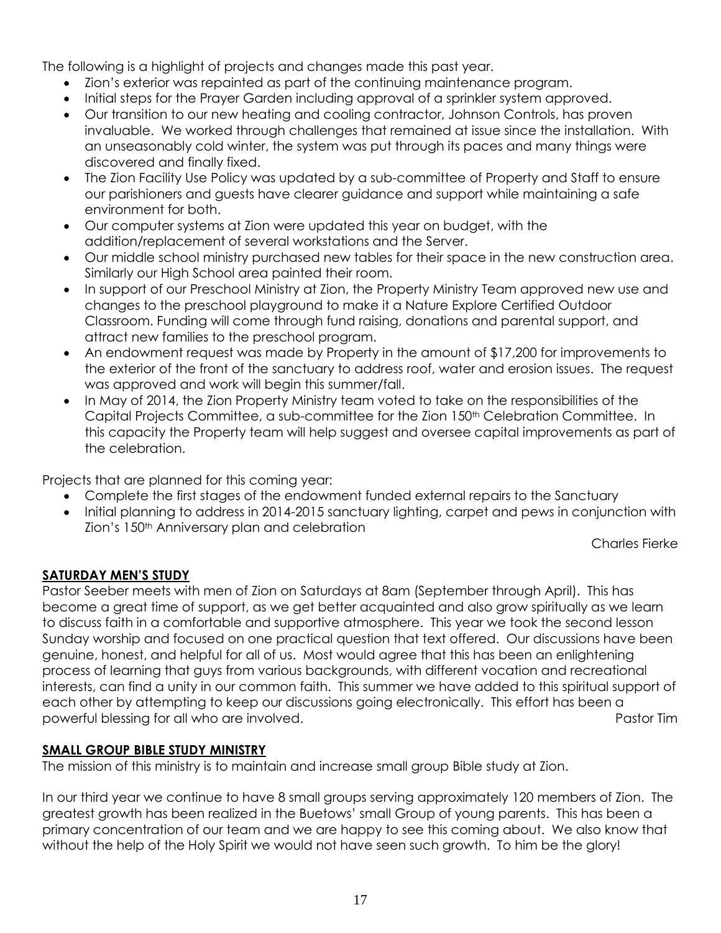The following is a highlight of projects and changes made this past year.

- Zion's exterior was repainted as part of the continuing maintenance program.
- Initial steps for the Prayer Garden including approval of a sprinkler system approved.
- Our transition to our new heating and cooling contractor, Johnson Controls, has proven invaluable. We worked through challenges that remained at issue since the installation. With an unseasonably cold winter, the system was put through its paces and many things were discovered and finally fixed.
- The Zion Facility Use Policy was updated by a sub-committee of Property and Staff to ensure our parishioners and guests have clearer guidance and support while maintaining a safe environment for both.
- Our computer systems at Zion were updated this year on budget, with the addition/replacement of several workstations and the Server.
- Our middle school ministry purchased new tables for their space in the new construction area. Similarly our High School area painted their room.
- In support of our Preschool Ministry at Zion, the Property Ministry Team approved new use and changes to the preschool playground to make it a Nature Explore Certified Outdoor Classroom. Funding will come through fund raising, donations and parental support, and attract new families to the preschool program.
- An endowment request was made by Property in the amount of \$17,200 for improvements to the exterior of the front of the sanctuary to address roof, water and erosion issues. The request was approved and work will begin this summer/fall.
- In May of 2014, the Zion Property Ministry team voted to take on the responsibilities of the Capital Projects Committee, a sub-committee for the Zion 150th Celebration Committee. In this capacity the Property team will help suggest and oversee capital improvements as part of the celebration.

Projects that are planned for this coming year:

- Complete the first stages of the endowment funded external repairs to the Sanctuary
- Initial planning to address in 2014-2015 sanctuary lighting, carpet and pews in conjunction with Zion's 150th Anniversary plan and celebration

Charles Fierke

# **SATURDAY MEN'S STUDY**

Pastor Seeber meets with men of Zion on Saturdays at 8am (September through April). This has become a great time of support, as we get better acquainted and also grow spiritually as we learn to discuss faith in a comfortable and supportive atmosphere. This year we took the second lesson Sunday worship and focused on one practical question that text offered. Our discussions have been genuine, honest, and helpful for all of us. Most would agree that this has been an enlightening process of learning that guys from various backgrounds, with different vocation and recreational interests, can find a unity in our common faith. This summer we have added to this spiritual support of each other by attempting to keep our discussions going electronically. This effort has been a powerful blessing for all who are involved. **Pastor Times and American** Pastor Times and Pastor Times are involved.

# **SMALL GROUP BIBLE STUDY MINISTRY**

The mission of this ministry is to maintain and increase small group Bible study at Zion.

In our third year we continue to have 8 small groups serving approximately 120 members of Zion. The greatest growth has been realized in the Buetows' small Group of young parents. This has been a primary concentration of our team and we are happy to see this coming about. We also know that without the help of the Holy Spirit we would not have seen such growth. To him be the glory!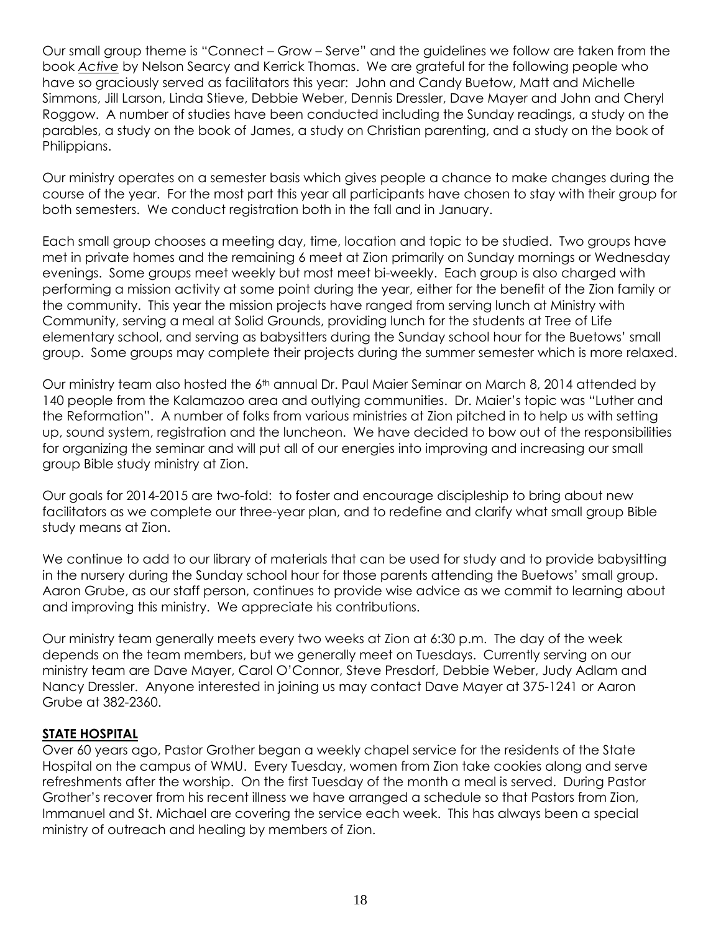Our small group theme is "Connect – Grow – Serve" and the guidelines we follow are taken from the book *Active* by Nelson Searcy and Kerrick Thomas. We are grateful for the following people who have so graciously served as facilitators this year: John and Candy Buetow, Matt and Michelle Simmons, Jill Larson, Linda Stieve, Debbie Weber, Dennis Dressler, Dave Mayer and John and Cheryl Roggow. A number of studies have been conducted including the Sunday readings, a study on the parables, a study on the book of James, a study on Christian parenting, and a study on the book of Philippians.

Our ministry operates on a semester basis which gives people a chance to make changes during the course of the year. For the most part this year all participants have chosen to stay with their group for both semesters. We conduct registration both in the fall and in January.

Each small group chooses a meeting day, time, location and topic to be studied. Two groups have met in private homes and the remaining 6 meet at Zion primarily on Sunday mornings or Wednesday evenings. Some groups meet weekly but most meet bi-weekly. Each group is also charged with performing a mission activity at some point during the year, either for the benefit of the Zion family or the community. This year the mission projects have ranged from serving lunch at Ministry with Community, serving a meal at Solid Grounds, providing lunch for the students at Tree of Life elementary school, and serving as babysitters during the Sunday school hour for the Buetows' small group. Some groups may complete their projects during the summer semester which is more relaxed.

Our ministry team also hosted the 6<sup>th</sup> annual Dr. Paul Maier Seminar on March 8, 2014 attended by 140 people from the Kalamazoo area and outlying communities. Dr. Maier's topic was "Luther and the Reformation". A number of folks from various ministries at Zion pitched in to help us with setting up, sound system, registration and the luncheon. We have decided to bow out of the responsibilities for organizing the seminar and will put all of our energies into improving and increasing our small group Bible study ministry at Zion.

Our goals for 2014-2015 are two-fold: to foster and encourage discipleship to bring about new facilitators as we complete our three-year plan, and to redefine and clarify what small group Bible study means at Zion.

We continue to add to our library of materials that can be used for study and to provide babysitting in the nursery during the Sunday school hour for those parents attending the Buetows' small group. Aaron Grube, as our staff person, continues to provide wise advice as we commit to learning about and improving this ministry. We appreciate his contributions.

Our ministry team generally meets every two weeks at Zion at 6:30 p.m. The day of the week depends on the team members, but we generally meet on Tuesdays. Currently serving on our ministry team are Dave Mayer, Carol O'Connor, Steve Presdorf, Debbie Weber, Judy Adlam and Nancy Dressler. Anyone interested in joining us may contact Dave Mayer at 375-1241 or Aaron Grube at 382-2360.

# **STATE HOSPITAL**

Over 60 years ago, Pastor Grother began a weekly chapel service for the residents of the State Hospital on the campus of WMU. Every Tuesday, women from Zion take cookies along and serve refreshments after the worship. On the first Tuesday of the month a meal is served. During Pastor Grother's recover from his recent illness we have arranged a schedule so that Pastors from Zion, Immanuel and St. Michael are covering the service each week. This has always been a special ministry of outreach and healing by members of Zion.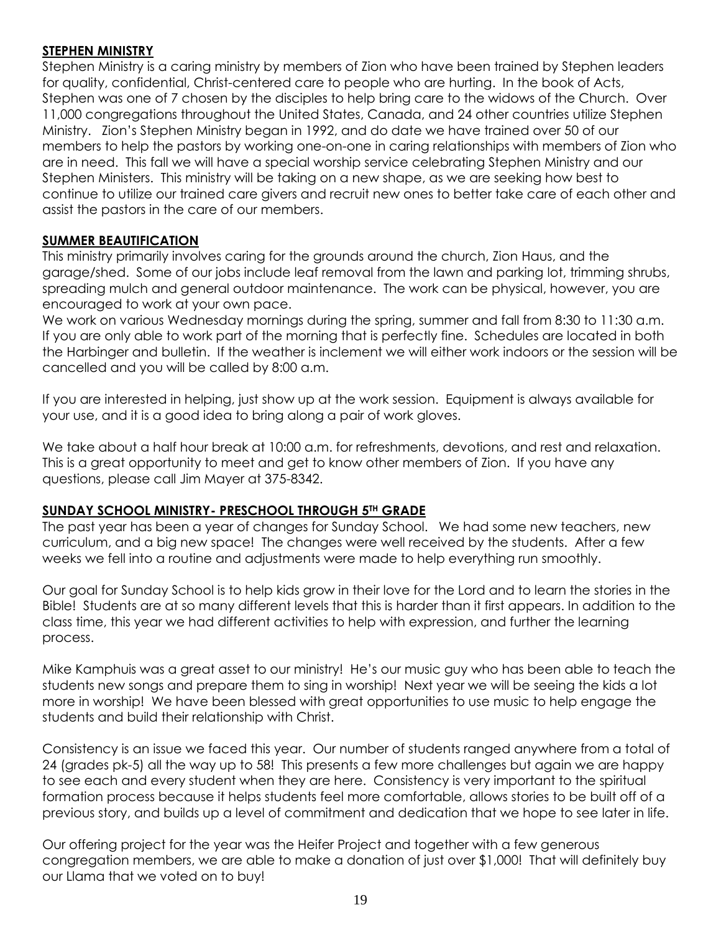# **STEPHEN MINISTRY**

Stephen Ministry is a caring ministry by members of Zion who have been trained by Stephen leaders for quality, confidential, Christ-centered care to people who are hurting. In the book of Acts, Stephen was one of 7 chosen by the disciples to help bring care to the widows of the Church. Over 11,000 congregations throughout the United States, Canada, and 24 other countries utilize Stephen Ministry. Zion's Stephen Ministry began in 1992, and do date we have trained over 50 of our members to help the pastors by working one-on-one in caring relationships with members of Zion who are in need. This fall we will have a special worship service celebrating Stephen Ministry and our Stephen Ministers. This ministry will be taking on a new shape, as we are seeking how best to continue to utilize our trained care givers and recruit new ones to better take care of each other and assist the pastors in the care of our members.

# **SUMMER BEAUTIFICATION**

This ministry primarily involves caring for the grounds around the church, Zion Haus, and the garage/shed. Some of our jobs include leaf removal from the lawn and parking lot, trimming shrubs, spreading mulch and general outdoor maintenance. The work can be physical, however, you are encouraged to work at your own pace.

We work on various Wednesday mornings during the spring, summer and fall from 8:30 to 11:30 a.m. If you are only able to work part of the morning that is perfectly fine. Schedules are located in both the Harbinger and bulletin. If the weather is inclement we will either work indoors or the session will be cancelled and you will be called by 8:00 a.m.

If you are interested in helping, just show up at the work session. Equipment is always available for your use, and it is a good idea to bring along a pair of work gloves.

We take about a half hour break at 10:00 a.m. for refreshments, devotions, and rest and relaxation. This is a great opportunity to meet and get to know other members of Zion. If you have any questions, please call Jim Mayer at 375-8342.

# **SUNDAY SCHOOL MINISTRY- PRESCHOOL THROUGH 5TH GRADE**

The past year has been a year of changes for Sunday School. We had some new teachers, new curriculum, and a big new space! The changes were well received by the students. After a few weeks we fell into a routine and adjustments were made to help everything run smoothly.

Our goal for Sunday School is to help kids grow in their love for the Lord and to learn the stories in the Bible! Students are at so many different levels that this is harder than it first appears. In addition to the class time, this year we had different activities to help with expression, and further the learning process.

Mike Kamphuis was a great asset to our ministry! He's our music guy who has been able to teach the students new songs and prepare them to sing in worship! Next year we will be seeing the kids a lot more in worship! We have been blessed with great opportunities to use music to help engage the students and build their relationship with Christ.

Consistency is an issue we faced this year. Our number of students ranged anywhere from a total of 24 (grades pk-5) all the way up to 58! This presents a few more challenges but again we are happy to see each and every student when they are here. Consistency is very important to the spiritual formation process because it helps students feel more comfortable, allows stories to be built off of a previous story, and builds up a level of commitment and dedication that we hope to see later in life.

Our offering project for the year was the Heifer Project and together with a few generous congregation members, we are able to make a donation of just over \$1,000! That will definitely buy our Llama that we voted on to buy!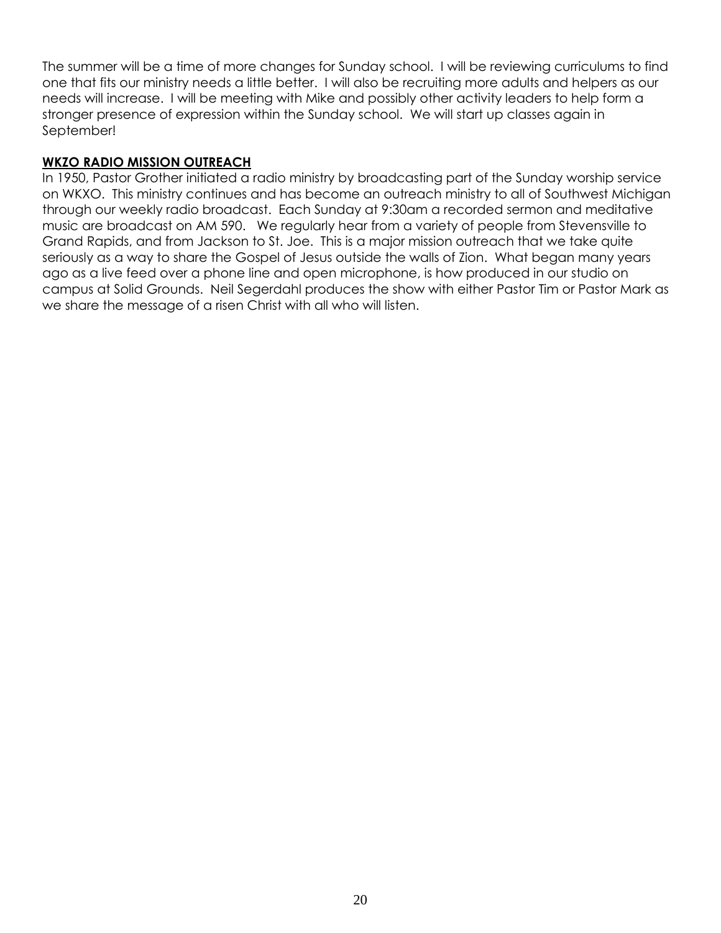The summer will be a time of more changes for Sunday school. I will be reviewing curriculums to find one that fits our ministry needs a little better. I will also be recruiting more adults and helpers as our needs will increase. I will be meeting with Mike and possibly other activity leaders to help form a stronger presence of expression within the Sunday school. We will start up classes again in September!

## **WKZO RADIO MISSION OUTREACH**

In 1950, Pastor Grother initiated a radio ministry by broadcasting part of the Sunday worship service on WKXO. This ministry continues and has become an outreach ministry to all of Southwest Michigan through our weekly radio broadcast. Each Sunday at 9:30am a recorded sermon and meditative music are broadcast on AM 590. We regularly hear from a variety of people from Stevensville to Grand Rapids, and from Jackson to St. Joe. This is a major mission outreach that we take quite seriously as a way to share the Gospel of Jesus outside the walls of Zion. What began many years ago as a live feed over a phone line and open microphone, is how produced in our studio on campus at Solid Grounds. Neil Segerdahl produces the show with either Pastor Tim or Pastor Mark as we share the message of a risen Christ with all who will listen.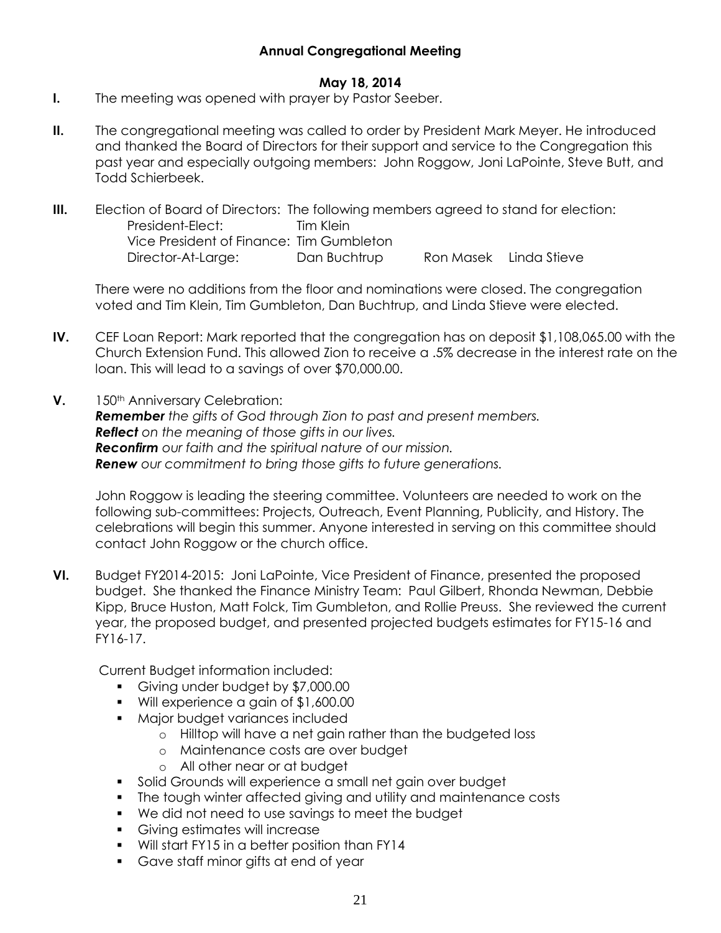# **Annual Congregational Meeting**

# **May 18, 2014**

- **I.** The meeting was opened with prayer by Pastor Seeber.
- **II.** The congregational meeting was called to order by President Mark Meyer. He introduced and thanked the Board of Directors for their support and service to the Congregation this past year and especially outgoing members: John Roggow, Joni LaPointe, Steve Butt, and Todd Schierbeek.
- **III.** Election of Board of Directors: The following members agreed to stand for election: President-Elect: Tim Klein Vice President of Finance: Tim Gumbleton Director-At-Large: Dan Buchtrup Ron Masek Linda Stieve

There were no additions from the floor and nominations were closed. The congregation voted and Tim Klein, Tim Gumbleton, Dan Buchtrup, and Linda Stieve were elected.

- **IV.** CEF Loan Report: Mark reported that the congregation has on deposit \$1,108,065.00 with the Church Extension Fund. This allowed Zion to receive a .5% decrease in the interest rate on the loan. This will lead to a savings of over \$70,000.00.
- **V.** 150<sup>th</sup> Anniversary Celebration: *Remember the gifts of God through Zion to past and present members. Reflect on the meaning of those gifts in our lives. Reconfirm our faith and the spiritual nature of our mission. Renew our commitment to bring those gifts to future generations.*

John Roggow is leading the steering committee. Volunteers are needed to work on the following sub-committees: Projects, Outreach, Event Planning, Publicity, and History. The celebrations will begin this summer. Anyone interested in serving on this committee should contact John Roggow or the church office.

**VI.** Budget FY2014-2015: Joni LaPointe, Vice President of Finance, presented the proposed budget. She thanked the Finance Ministry Team: Paul Gilbert, Rhonda Newman, Debbie Kipp, Bruce Huston, Matt Folck, Tim Gumbleton, and Rollie Preuss. She reviewed the current year, the proposed budget, and presented projected budgets estimates for FY15-16 and FY16-17.

Current Budget information included:

- Giving under budget by \$7,000.00
- Will experience a gain of \$1,600.00
- **Major budget variances included** 
	- o Hilltop will have a net gain rather than the budgeted loss
	- o Maintenance costs are over budget
	- o All other near or at budget
- Solid Grounds will experience a small net gain over budget
- The tough winter affected giving and utility and maintenance costs
- We did not need to use savings to meet the budget
- **Giving estimates will increase**
- Will start FY15 in a better position than FY14
- Gave staff minor gifts at end of year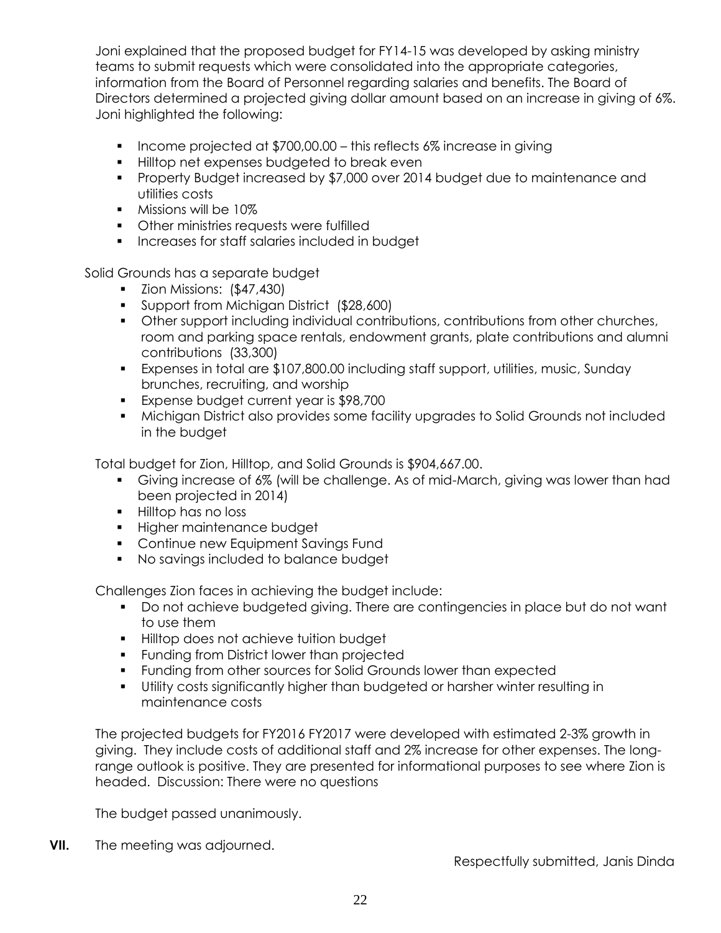Joni explained that the proposed budget for FY14-15 was developed by asking ministry teams to submit requests which were consolidated into the appropriate categories, information from the Board of Personnel regarding salaries and benefits. The Board of Directors determined a projected giving dollar amount based on an increase in giving of 6%. Joni highlighted the following:

- Income projected at  $$700,00.00 -$  this reflects 6% increase in giving
- **Hilltop net expenses budgeted to break even**
- Property Budget increased by \$7,000 over 2014 budget due to maintenance and utilities costs
- **Missions will be 10%**
- **•** Other ministries requests were fulfilled
- **Increases for staff salaries included in budget**

Solid Grounds has a separate budget

- $\blacksquare$  Zion Missions:  $(\$47,430)$
- Support from Michigan District (\$28,600)
- Other support including individual contributions, contributions from other churches, room and parking space rentals, endowment grants, plate contributions and alumni contributions (33,300)
- Expenses in total are \$107,800.00 including staff support, utilities, music, Sunday brunches, recruiting, and worship
- **Expense budget current year is \$98,700**
- Michigan District also provides some facility upgrades to Solid Grounds not included in the budget

Total budget for Zion, Hilltop, and Solid Grounds is \$904,667.00.

- Giving increase of 6% (will be challenge. As of mid-March, giving was lower than had been projected in 2014)
- **Hilltop has no loss**
- **Higher maintenance budget**
- **Continue new Equipment Savings Fund**
- No savings included to balance budget

Challenges Zion faces in achieving the budget include:

- Do not achieve budgeted giving. There are contingencies in place but do not want to use them
- **Hilltop does not achieve tuition budget**
- **Funding from District lower than projected**
- Funding from other sources for Solid Grounds lower than expected
- Utility costs significantly higher than budgeted or harsher winter resulting in maintenance costs

The projected budgets for FY2016 FY2017 were developed with estimated 2-3% growth in giving. They include costs of additional staff and 2% increase for other expenses. The longrange outlook is positive. They are presented for informational purposes to see where Zion is headed. Discussion: There were no questions

The budget passed unanimously.

**VII.** The meeting was adjourned.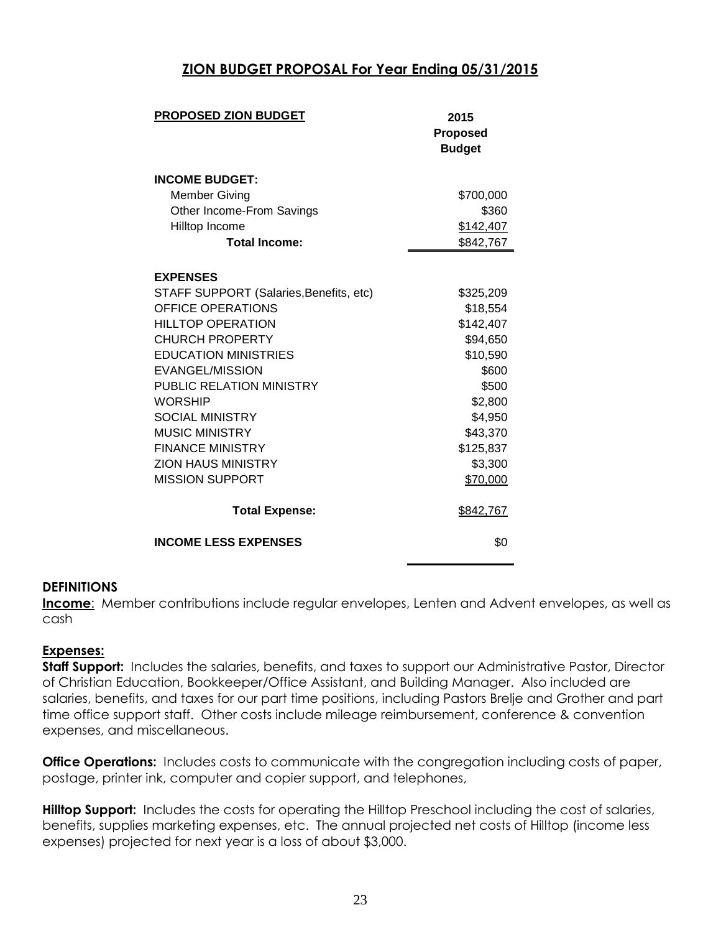# **ZION BUDGET PROPOSAL For Year Ending 05/31/2015**

| <b>PROPOSED ZION BUDGET</b>             | 2015            |  |
|-----------------------------------------|-----------------|--|
|                                         | <b>Proposed</b> |  |
|                                         | <b>Budget</b>   |  |
|                                         |                 |  |
| <b>INCOME BUDGET:</b>                   |                 |  |
| <b>Member Giving</b>                    | \$700,000       |  |
| Other Income-From Savings               | \$360           |  |
| Hilltop Income                          | \$142,407       |  |
| <b>Total Income:</b>                    | \$842,767       |  |
| <b>EXPENSES</b>                         |                 |  |
| STAFF SUPPORT (Salaries, Benefits, etc) | \$325,209       |  |
| OFFICE OPERATIONS                       | \$18,554        |  |
| <b>HILLTOP OPERATION</b>                | \$142,407       |  |
| <b>CHURCH PROPERTY</b>                  | \$94,650        |  |
| <b>EDUCATION MINISTRIES</b>             | \$10,590        |  |
| EVANGEL/MISSION                         | \$600           |  |
| PUBLIC RELATION MINISTRY                | \$500           |  |
| <b>WORSHIP</b>                          | \$2,800         |  |
| <b>SOCIAL MINISTRY</b>                  | \$4,950         |  |
| <b>MUSIC MINISTRY</b>                   | \$43,370        |  |
| <b>FINANCE MINISTRY</b>                 | \$125,837       |  |
| <b>ZION HAUS MINISTRY</b>               | \$3,300         |  |
| <b>MISSION SUPPORT</b>                  | \$70,000        |  |
| <b>Total Expense:</b>                   | \$842,767       |  |
| <b>INCOME LESS EXPENSES</b>             | \$0             |  |

#### **DEFINITIONS**

**Income**: Member contributions include regular envelopes, Lenten and Advent envelopes, as well as cash

#### **Expenses:**

**Staff Support:** Includes the salaries, benefits, and taxes to support our Administrative Pastor, Director of Christian Education, Bookkeeper/Office Assistant, and Building Manager. Also included are salaries, benefits, and taxes for our part time positions, including Pastors Brelje and Grother and part time office support staff. Other costs include mileage reimbursement, conference & convention expenses, and miscellaneous.

**Office Operations:** Includes costs to communicate with the congregation including costs of paper, postage, printer ink, computer and copier support, and telephones,

**Hilltop Support:** Includes the costs for operating the Hilltop Preschool including the cost of salaries, benefits, supplies marketing expenses, etc. The annual projected net costs of Hilltop (income less expenses) projected for next year is a loss of about \$3,000.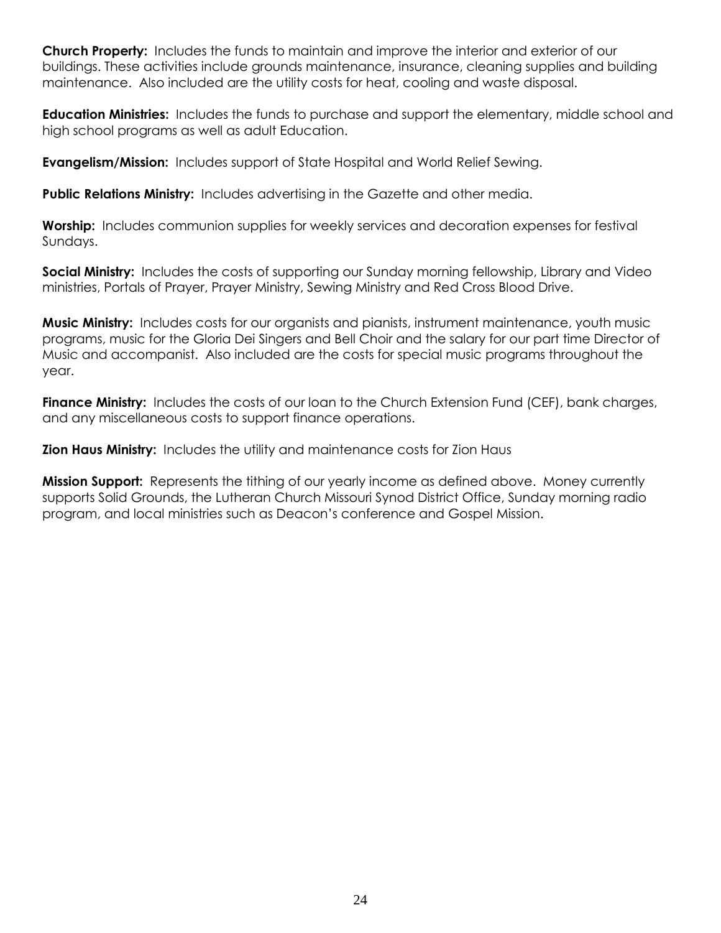**Church Property:** Includes the funds to maintain and improve the interior and exterior of our buildings. These activities include grounds maintenance, insurance, cleaning supplies and building maintenance. Also included are the utility costs for heat, cooling and waste disposal.

**Education Ministries:** Includes the funds to purchase and support the elementary, middle school and high school programs as well as adult Education.

**Evangelism/Mission:** Includes support of State Hospital and World Relief Sewing.

**Public Relations Ministry:** Includes advertising in the Gazette and other media.

**Worship:** Includes communion supplies for weekly services and decoration expenses for festival Sundays.

**Social Ministry:** Includes the costs of supporting our Sunday morning fellowship, Library and Video ministries, Portals of Prayer, Prayer Ministry, Sewing Ministry and Red Cross Blood Drive.

**Music Ministry:** Includes costs for our organists and pianists, instrument maintenance, youth music programs, music for the Gloria Dei Singers and Bell Choir and the salary for our part time Director of Music and accompanist. Also included are the costs for special music programs throughout the year.

Finance Ministry: Includes the costs of our loan to the Church Extension Fund (CEF), bank charges, and any miscellaneous costs to support finance operations.

**Zion Haus Ministry:** Includes the utility and maintenance costs for Zion Haus

**Mission Support:** Represents the tithing of our yearly income as defined above. Money currently supports Solid Grounds, the Lutheran Church Missouri Synod District Office, Sunday morning radio program, and local ministries such as Deacon's conference and Gospel Mission.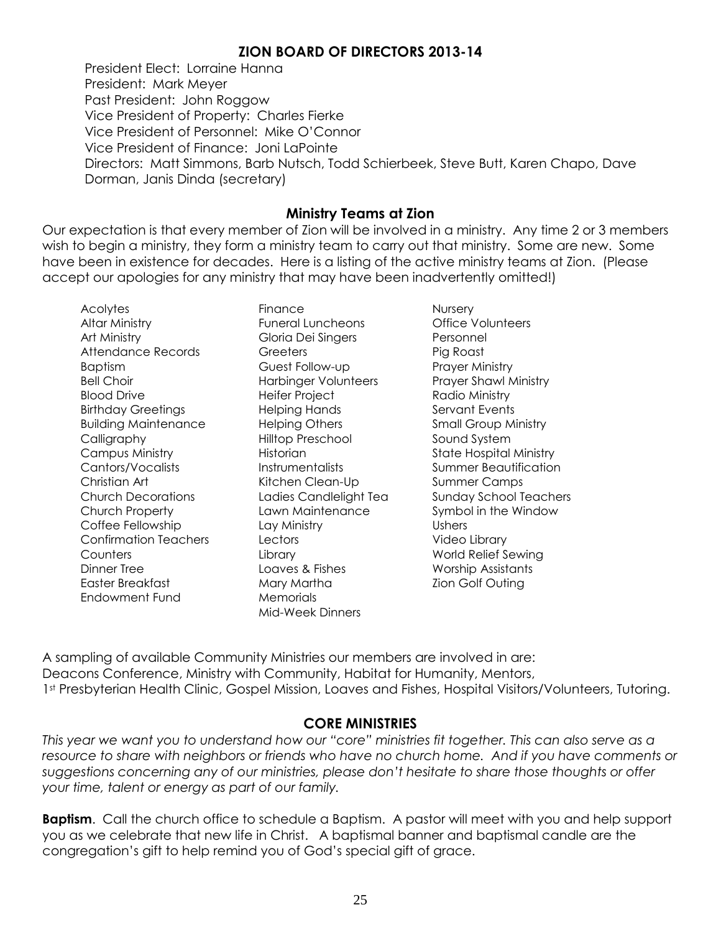# **ZION BOARD OF DIRECTORS 2013-14**

President Elect: Lorraine Hanna President: Mark Meyer Past President: John Roggow Vice President of Property: Charles Fierke Vice President of Personnel: Mike O'Connor Vice President of Finance: Joni LaPointe Directors: Matt Simmons, Barb Nutsch, Todd Schierbeek, Steve Butt, Karen Chapo, Dave Dorman, Janis Dinda (secretary)

# **Ministry Teams at Zion**

Our expectation is that every member of Zion will be involved in a ministry. Any time 2 or 3 members wish to begin a ministry, they form a ministry team to carry out that ministry. Some are new. Some have been in existence for decades. Here is a listing of the active ministry teams at Zion. (Please accept our apologies for any ministry that may have been inadvertently omitted!)

Acolytes Altar Ministry Art Ministry Attendance Records Baptism Bell Choir Blood Drive Birthday Greetings Building Maintenance Calligraphy Campus Ministry Cantors/Vocalists Christian Art Church Decorations Church Property Coffee Fellowship Confirmation Teachers Counters Dinner Tree Easter Breakfast Endowment Fund

Finance Funeral Luncheons Gloria Dei Singers **Greeters** Guest Follow-up Harbinger Volunteers Heifer Project Helping Hands Helping Others Hilltop Preschool Historian **Instrumentalists** Kitchen Clean-Up Ladies Candlelight Tea Lawn Maintenance Lay Ministry **Lectors Library** Loaves & Fishes Mary Martha **Memorials** Mid-Week Dinners

**Nursery** Office Volunteers Personnel Pig Roast Prayer Ministry Prayer Shawl Ministry Radio Ministry Servant Events Small Group Ministry Sound System State Hospital Ministry Summer Beautification Summer Camps Sunday School Teachers Symbol in the Window Ushers Video Library World Relief Sewing Worship Assistants Zion Golf Outing

A sampling of available Community Ministries our members are involved in are: Deacons Conference, Ministry with Community, Habitat for Humanity, Mentors, 1<sup>st</sup> Presbyterian Health Clinic, Gospel Mission, Loaves and Fishes, Hospital Visitors/Volunteers, Tutoring.

# **CORE MINISTRIES**

*This year we want you to understand how our "core" ministries fit together. This can also serve as a resource to share with neighbors or friends who have no church home. And if you have comments or suggestions concerning any of our ministries, please don't hesitate to share those thoughts or offer your time, talent or energy as part of our family.* 

**Baptism**. Call the church office to schedule a Baptism. A pastor will meet with you and help support you as we celebrate that new life in Christ. A baptismal banner and baptismal candle are the congregation's gift to help remind you of God's special gift of grace.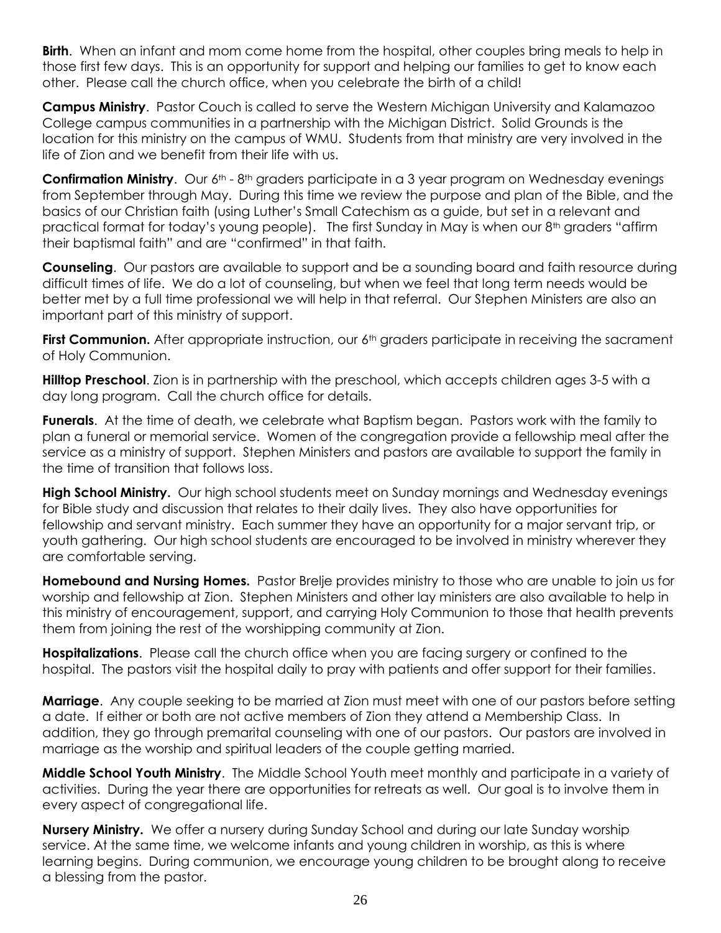**Birth**. When an infant and mom come home from the hospital, other couples bring meals to help in those first few days. This is an opportunity for support and helping our families to get to know each other. Please call the church office, when you celebrate the birth of a child!

**Campus Ministry**. Pastor Couch is called to serve the Western Michigan University and Kalamazoo College campus communities in a partnership with the Michigan District. Solid Grounds is the location for this ministry on the campus of WMU. Students from that ministry are very involved in the life of Zion and we benefit from their life with us.

**Confirmation Ministry.** Our 6<sup>th</sup> - 8<sup>th</sup> graders participate in a 3 year program on Wednesday evenings from September through May. During this time we review the purpose and plan of the Bible, and the basics of our Christian faith (using Luther's Small Catechism as a guide, but set in a relevant and practical format for today's young people). The first Sunday in May is when our 8<sup>th</sup> graders "affirm their baptismal faith" and are "confirmed" in that faith.

**Counseling**. Our pastors are available to support and be a sounding board and faith resource during difficult times of life. We do a lot of counseling, but when we feel that long term needs would be better met by a full time professional we will help in that referral. Our Stephen Ministers are also an important part of this ministry of support.

**First Communion.** After appropriate instruction, our 6<sup>th</sup> graders participate in receiving the sacrament of Holy Communion.

**Hilltop Preschool**. Zion is in partnership with the preschool, which accepts children ages 3-5 with a day long program. Call the church office for details.

**Funerals**. At the time of death, we celebrate what Baptism began. Pastors work with the family to plan a funeral or memorial service. Women of the congregation provide a fellowship meal after the service as a ministry of support. Stephen Ministers and pastors are available to support the family in the time of transition that follows loss.

**High School Ministry.** Our high school students meet on Sunday mornings and Wednesday evenings for Bible study and discussion that relates to their daily lives. They also have opportunities for fellowship and servant ministry. Each summer they have an opportunity for a major servant trip, or youth gathering. Our high school students are encouraged to be involved in ministry wherever they are comfortable serving.

**Homebound and Nursing Homes.** Pastor Brelje provides ministry to those who are unable to join us for worship and fellowship at Zion. Stephen Ministers and other lay ministers are also available to help in this ministry of encouragement, support, and carrying Holy Communion to those that health prevents them from joining the rest of the worshipping community at Zion.

**Hospitalizations**. Please call the church office when you are facing surgery or confined to the hospital. The pastors visit the hospital daily to pray with patients and offer support for their families.

**Marriage**. Any couple seeking to be married at Zion must meet with one of our pastors before setting a date. If either or both are not active members of Zion they attend a Membership Class. In addition, they go through premarital counseling with one of our pastors. Our pastors are involved in marriage as the worship and spiritual leaders of the couple getting married.

**Middle School Youth Ministry**. The Middle School Youth meet monthly and participate in a variety of activities. During the year there are opportunities for retreats as well. Our goal is to involve them in every aspect of congregational life.

**Nursery Ministry.** We offer a nursery during Sunday School and during our late Sunday worship service. At the same time, we welcome infants and young children in worship, as this is where learning begins. During communion, we encourage young children to be brought along to receive a blessing from the pastor.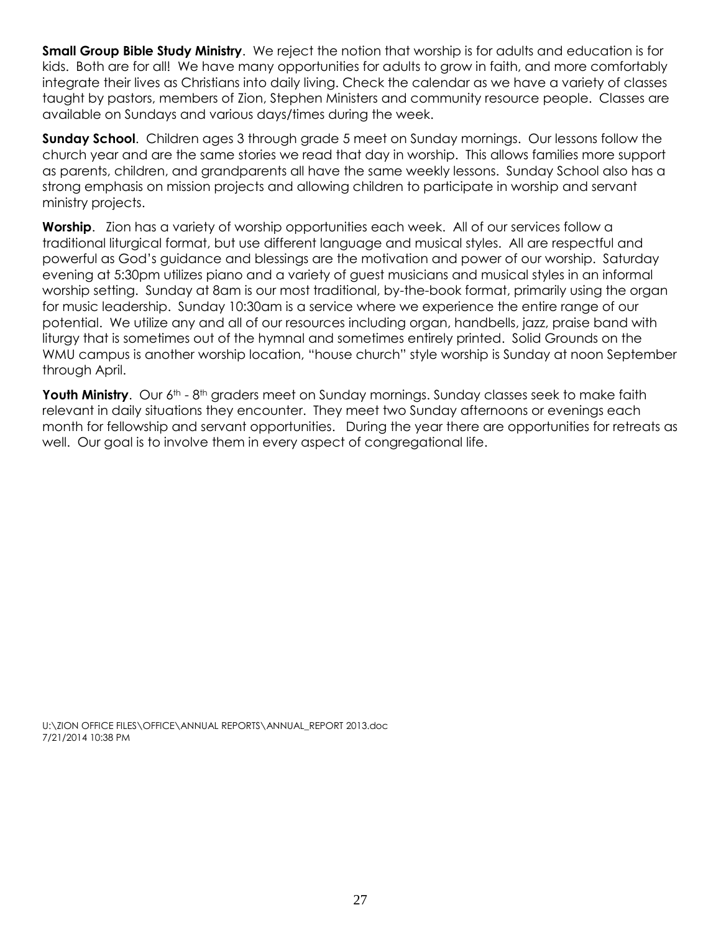**Small Group Bible Study Ministry**. We reject the notion that worship is for adults and education is for kids. Both are for all! We have many opportunities for adults to grow in faith, and more comfortably integrate their lives as Christians into daily living. Check the calendar as we have a variety of classes taught by pastors, members of Zion, Stephen Ministers and community resource people. Classes are available on Sundays and various days/times during the week.

**Sunday School**. Children ages 3 through grade 5 meet on Sunday mornings. Our lessons follow the church year and are the same stories we read that day in worship. This allows families more support as parents, children, and grandparents all have the same weekly lessons. Sunday School also has a strong emphasis on mission projects and allowing children to participate in worship and servant ministry projects.

**Worship**. Zion has a variety of worship opportunities each week. All of our services follow a traditional liturgical format, but use different language and musical styles. All are respectful and powerful as God's guidance and blessings are the motivation and power of our worship. Saturday evening at 5:30pm utilizes piano and a variety of guest musicians and musical styles in an informal worship setting. Sunday at 8am is our most traditional, by-the-book format, primarily using the organ for music leadership. Sunday 10:30am is a service where we experience the entire range of our potential. We utilize any and all of our resources including organ, handbells, jazz, praise band with liturgy that is sometimes out of the hymnal and sometimes entirely printed. Solid Grounds on the WMU campus is another worship location, "house church" style worship is Sunday at noon September through April.

Youth Ministry. Our 6<sup>th</sup> - 8<sup>th</sup> graders meet on Sunday mornings. Sunday classes seek to make faith relevant in daily situations they encounter. They meet two Sunday afternoons or evenings each month for fellowship and servant opportunities. During the year there are opportunities for retreats as well. Our goal is to involve them in every aspect of congregational life.

U:\ZION OFFICE FILES\OFFICE\ANNUAL REPORTS\ANNUAL\_REPORT 2013.doc 7/21/2014 10:38 PM